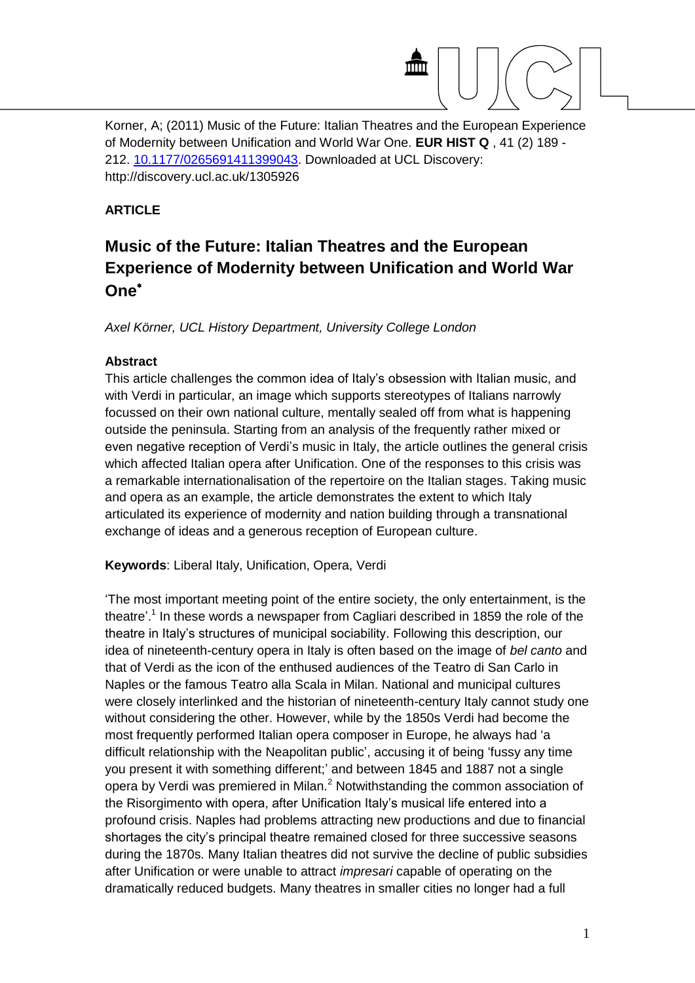

Korner, A; (2011) Music of the Future: Italian Theatres and the European Experience of Modernity between Unification and World War One. **EUR HIST Q** , 41 (2) 189 - 212. [10.1177/0265691411399043.](http://dx.doi.org/10.1177/0265691411399043) Downloaded at UCL Discovery: http://discovery.ucl.ac.uk/1305926

## **ARTICLE**

## **Music of the Future: Italian Theatres and the European Experience of Modernity between Unification and World War One**

*Axel Körner, UCL History Department, University College London*

## **Abstract**

This article challenges the common idea of Italy's obsession with Italian music, and with Verdi in particular, an image which supports stereotypes of Italians narrowly focussed on their own national culture, mentally sealed off from what is happening outside the peninsula. Starting from an analysis of the frequently rather mixed or even negative reception of Verdi's music in Italy, the article outlines the general crisis which affected Italian opera after Unification. One of the responses to this crisis was a remarkable internationalisation of the repertoire on the Italian stages. Taking music and opera as an example, the article demonstrates the extent to which Italy articulated its experience of modernity and nation building through a transnational exchange of ideas and a generous reception of European culture.

**Keywords**: Liberal Italy, Unification, Opera, Verdi

'The most important meeting point of the entire society, the only entertainment, is the theatre'.<sup>1</sup> In these words a newspaper from Cagliari described in 1859 the role of the theatre in Italy's structures of municipal sociability. Following this description, our idea of nineteenth-century opera in Italy is often based on the image of *bel canto* and that of Verdi as the icon of the enthused audiences of the Teatro di San Carlo in Naples or the famous Teatro alla Scala in Milan. National and municipal cultures were closely interlinked and the historian of nineteenth-century Italy cannot study one without considering the other. However, while by the 1850s Verdi had become the most frequently performed Italian opera composer in Europe, he always had 'a difficult relationship with the Neapolitan public', accusing it of being 'fussy any time you present it with something different;' and between 1845 and 1887 not a single opera by Verdi was premiered in Milan.<sup>2</sup> Notwithstanding the common association of the Risorgimento with opera, after Unification Italy's musical life entered into a profound crisis. Naples had problems attracting new productions and due to financial shortages the city's principal theatre remained closed for three successive seasons during the 1870s. Many Italian theatres did not survive the decline of public subsidies after Unification or were unable to attract *impresari* capable of operating on the dramatically reduced budgets. Many theatres in smaller cities no longer had a full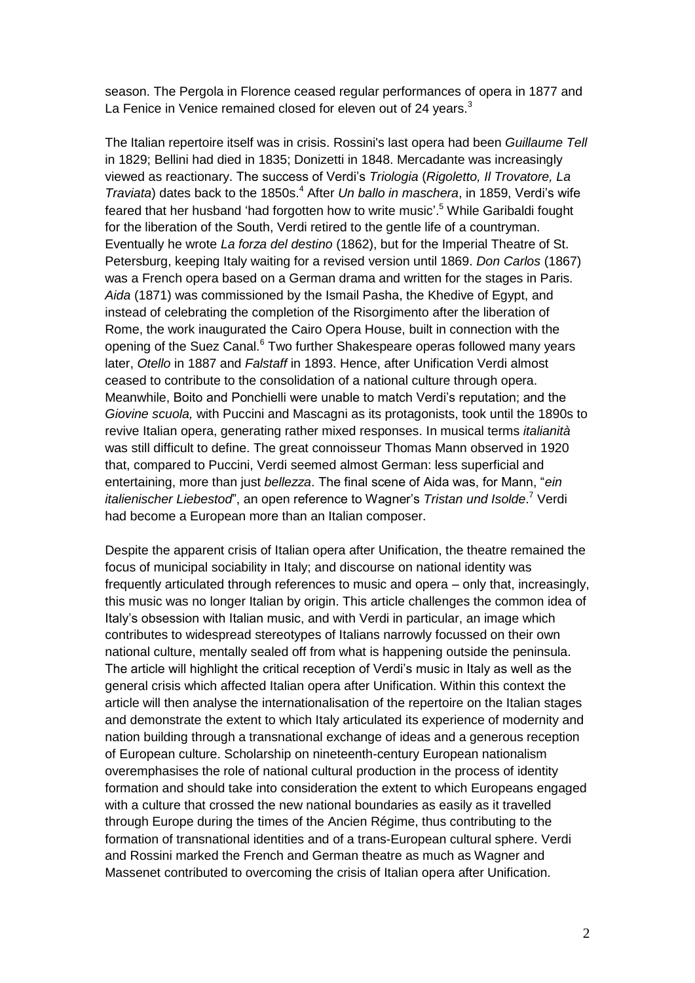season. The Pergola in Florence ceased regular performances of opera in 1877 and La Fenice in Venice remained closed for eleven out of 24 years.<sup>3</sup>

The Italian repertoire itself was in crisis. Rossini's last opera had been *Guillaume Tell* in 1829; Bellini had died in 1835; Donizetti in 1848. Mercadante was increasingly viewed as reactionary. The success of Verdi's *Triologia* (*Rigoletto, Il Trovatore, La Traviata*) dates back to the 1850s.<sup>4</sup> After *Un ballo in maschera*, in 1859, Verdi's wife feared that her husband 'had forgotten how to write music'. <sup>5</sup> While Garibaldi fought for the liberation of the South, Verdi retired to the gentle life of a countryman. Eventually he wrote *La forza del destino* (1862), but for the Imperial Theatre of St. Petersburg, keeping Italy waiting for a revised version until 1869. *Don Carlos* (1867) was a French opera based on a German drama and written for the stages in Paris. *Aida* (1871) was commissioned by the Ismail Pasha, the Khedive of Egypt, and instead of celebrating the completion of the Risorgimento after the liberation of Rome, the work inaugurated the Cairo Opera House, built in connection with the opening of the Suez Canal.<sup>6</sup> Two further Shakespeare operas followed many years later, *Otello* in 1887 and *Falstaff* in 1893. Hence, after Unification Verdi almost ceased to contribute to the consolidation of a national culture through opera. Meanwhile, Boito and Ponchielli were unable to match Verdi's reputation; and the *Giovine scuola,* with Puccini and Mascagni as its protagonists, took until the 1890s to revive Italian opera, generating rather mixed responses. In musical terms *italianità* was still difficult to define. The great connoisseur Thomas Mann observed in 1920 that, compared to Puccini, Verdi seemed almost German: less superficial and entertaining, more than just *bellezza*. The final scene of Aida was, for Mann, "*ein italienischer Liebestod*", an open reference to Wagner's *Tristan und Isolde*. <sup>7</sup> Verdi had become a European more than an Italian composer.

Despite the apparent crisis of Italian opera after Unification, the theatre remained the focus of municipal sociability in Italy; and discourse on national identity was frequently articulated through references to music and opera – only that, increasingly, this music was no longer Italian by origin. This article challenges the common idea of Italy's obsession with Italian music, and with Verdi in particular, an image which contributes to widespread stereotypes of Italians narrowly focussed on their own national culture, mentally sealed off from what is happening outside the peninsula. The article will highlight the critical reception of Verdi's music in Italy as well as the general crisis which affected Italian opera after Unification. Within this context the article will then analyse the internationalisation of the repertoire on the Italian stages and demonstrate the extent to which Italy articulated its experience of modernity and nation building through a transnational exchange of ideas and a generous reception of European culture. Scholarship on nineteenth-century European nationalism overemphasises the role of national cultural production in the process of identity formation and should take into consideration the extent to which Europeans engaged with a culture that crossed the new national boundaries as easily as it travelled through Europe during the times of the Ancien Régime, thus contributing to the formation of transnational identities and of a trans-European cultural sphere. Verdi and Rossini marked the French and German theatre as much as Wagner and Massenet contributed to overcoming the crisis of Italian opera after Unification.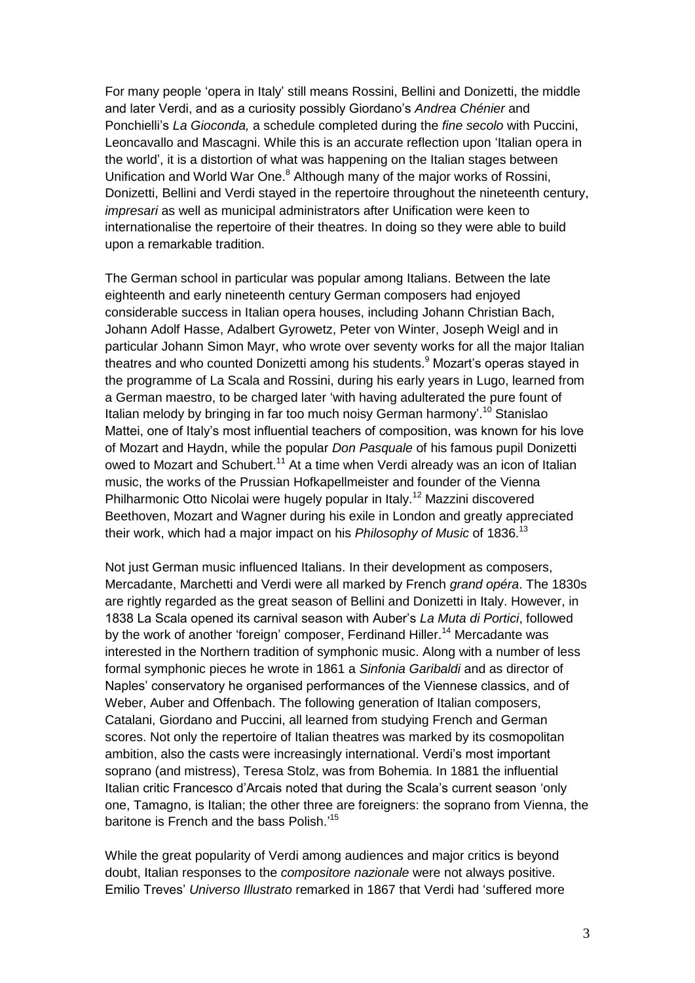For many people 'opera in Italy' still means Rossini, Bellini and Donizetti, the middle and later Verdi, and as a curiosity possibly Giordano's *Andrea Chénier* and Ponchielli's *La Gioconda,* a schedule completed during the *fine secolo* with Puccini, Leoncavallo and Mascagni. While this is an accurate reflection upon 'Italian opera in the world', it is a distortion of what was happening on the Italian stages between Unification and World War One.<sup>8</sup> Although many of the major works of Rossini, Donizetti, Bellini and Verdi stayed in the repertoire throughout the nineteenth century, *impresari* as well as municipal administrators after Unification were keen to internationalise the repertoire of their theatres. In doing so they were able to build upon a remarkable tradition.

The German school in particular was popular among Italians. Between the late eighteenth and early nineteenth century German composers had enjoyed considerable success in Italian opera houses, including Johann Christian Bach, Johann Adolf Hasse, Adalbert Gyrowetz, Peter von Winter, Joseph Weigl and in particular Johann Simon Mayr, who wrote over seventy works for all the major Italian theatres and who counted Donizetti among his students.<sup>9</sup> Mozart's operas stayed in the programme of La Scala and Rossini, during his early years in Lugo, learned from a German maestro, to be charged later 'with having adulterated the pure fount of Italian melody by bringing in far too much noisy German harmony'.<sup>10</sup> Stanislao Mattei, one of Italy's most influential teachers of composition, was known for his love of Mozart and Haydn, while the popular *Don Pasquale* of his famous pupil Donizetti owed to Mozart and Schubert.<sup>11</sup> At a time when Verdi already was an icon of Italian music, the works of the Prussian Hofkapellmeister and founder of the Vienna Philharmonic Otto Nicolai were hugely popular in Italy.<sup>12</sup> Mazzini discovered Beethoven, Mozart and Wagner during his exile in London and greatly appreciated their work, which had a major impact on his *Philosophy of Music* of 1836.<sup>13</sup>

Not just German music influenced Italians. In their development as composers, Mercadante, Marchetti and Verdi were all marked by French *grand opéra*. The 1830s are rightly regarded as the great season of Bellini and Donizetti in Italy. However, in 1838 La Scala opened its carnival season with Auber's *La Muta di Portici*, followed by the work of another 'foreign' composer. Ferdinand Hiller.<sup>14</sup> Mercadante was interested in the Northern tradition of symphonic music. Along with a number of less formal symphonic pieces he wrote in 1861 a *Sinfonia Garibaldi* and as director of Naples' conservatory he organised performances of the Viennese classics, and of Weber, Auber and Offenbach. The following generation of Italian composers, Catalani, Giordano and Puccini, all learned from studying French and German scores. Not only the repertoire of Italian theatres was marked by its cosmopolitan ambition, also the casts were increasingly international. Verdi's most important soprano (and mistress), Teresa Stolz, was from Bohemia. In 1881 the influential Italian critic Francesco d'Arcais noted that during the Scala's current season 'only one, Tamagno, is Italian; the other three are foreigners: the soprano from Vienna, the baritone is French and the bass Polish.' 15

While the great popularity of Verdi among audiences and major critics is beyond doubt, Italian responses to the *compositore nazionale* were not always positive. Emilio Treves' *Universo Illustrato* remarked in 1867 that Verdi had 'suffered more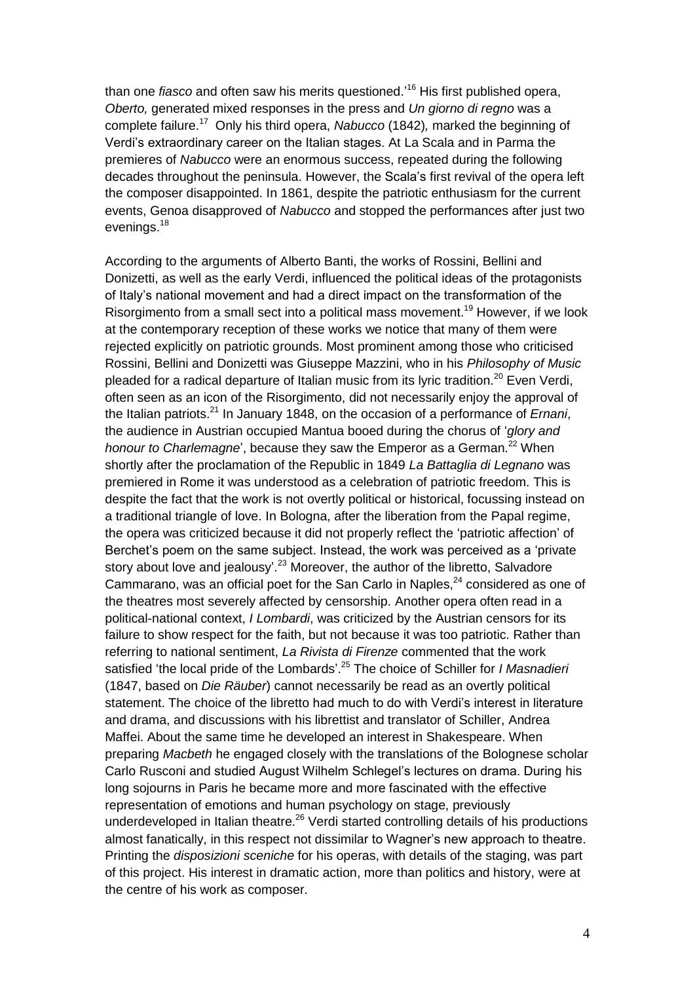than one *fiasco* and often saw his merits questioned.' <sup>16</sup> His first published opera, *Oberto,* generated mixed responses in the press and *Un giorno di regno* was a complete failure.<sup>17</sup> Only his third opera, *Nabucco* (1842)*,* marked the beginning of Verdi's extraordinary career on the Italian stages. At La Scala and in Parma the premieres of *Nabucco* were an enormous success, repeated during the following decades throughout the peninsula. However, the Scala's first revival of the opera left the composer disappointed. In 1861, despite the patriotic enthusiasm for the current events, Genoa disapproved of *Nabucco* and stopped the performances after just two evenings.<sup>18</sup>

According to the arguments of Alberto Banti, the works of Rossini, Bellini and Donizetti, as well as the early Verdi, influenced the political ideas of the protagonists of Italy's national movement and had a direct impact on the transformation of the Risorgimento from a small sect into a political mass movement. <sup>19</sup> However, if we look at the contemporary reception of these works we notice that many of them were rejected explicitly on patriotic grounds. Most prominent among those who criticised Rossini, Bellini and Donizetti was Giuseppe Mazzini, who in his *Philosophy of Music* pleaded for a radical departure of Italian music from its lyric tradition.<sup>20</sup> Even Verdi, often seen as an icon of the Risorgimento, did not necessarily enjoy the approval of the Italian patriots.<sup>21</sup> In January 1848, on the occasion of a performance of *Ernani*, the audience in Austrian occupied Mantua booed during the chorus of '*glory and honour to Charlemagne*', because they saw the Emperor as a German.<sup>22</sup> When shortly after the proclamation of the Republic in 1849 *La Battaglia di Legnano* was premiered in Rome it was understood as a celebration of patriotic freedom. This is despite the fact that the work is not overtly political or historical, focussing instead on a traditional triangle of love. In Bologna, after the liberation from the Papal regime, the opera was criticized because it did not properly reflect the 'patriotic affection' of Berchet's poem on the same subject. Instead, the work was perceived as a 'private story about love and jealousy'.<sup>23</sup> Moreover, the author of the libretto, Salvadore Cammarano, was an official poet for the San Carlo in Naples.<sup>24</sup> considered as one of the theatres most severely affected by censorship. Another opera often read in a political-national context, *I Lombardi*, was criticized by the Austrian censors for its failure to show respect for the faith, but not because it was too patriotic. Rather than referring to national sentiment, *La Rivista di Firenze* commented that the work satisfied 'the local pride of the Lombards'. <sup>25</sup> The choice of Schiller for *I Masnadieri* (1847, based on *Die Räuber*) cannot necessarily be read as an overtly political statement. The choice of the libretto had much to do with Verdi's interest in literature and drama, and discussions with his librettist and translator of Schiller, Andrea Maffei. About the same time he developed an interest in Shakespeare. When preparing *Macbeth* he engaged closely with the translations of the Bolognese scholar Carlo Rusconi and studied August Wilhelm Schlegel's lectures on drama. During his long sojourns in Paris he became more and more fascinated with the effective representation of emotions and human psychology on stage, previously underdeveloped in Italian theatre.<sup>26</sup> Verdi started controlling details of his productions almost fanatically, in this respect not dissimilar to Wagner's new approach to theatre. Printing the *disposizioni sceniche* for his operas, with details of the staging, was part of this project. His interest in dramatic action, more than politics and history, were at the centre of his work as composer.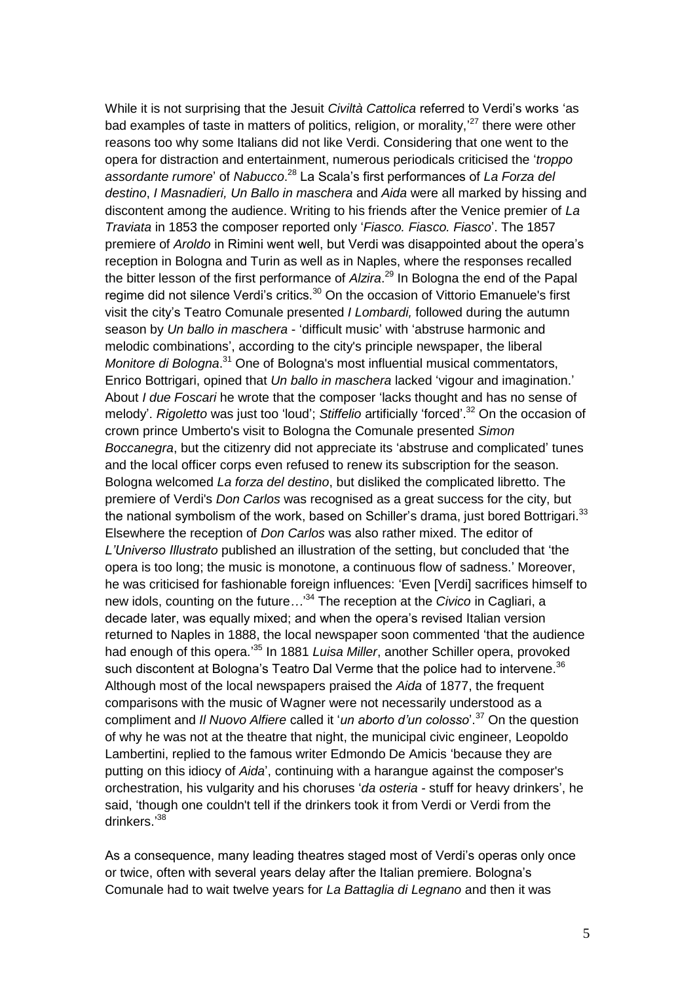While it is not surprising that the Jesuit *Civiltà Cattolica* referred to Verdi's works 'as bad examples of taste in matters of politics, religion, or morality,<sup>27</sup> there were other reasons too why some Italians did not like Verdi. Considering that one went to the opera for distraction and entertainment, numerous periodicals criticised the '*troppo assordante rumore*' of *Nabucco*. <sup>28</sup> La Scala's first performances of *La Forza del destino*, *I Masnadieri, Un Ballo in maschera* and *Aida* were all marked by hissing and discontent among the audience. Writing to his friends after the Venice premier of *La Traviata* in 1853 the composer reported only '*Fiasco. Fiasco. Fiasco*'. The 1857 premiere of *Aroldo* in Rimini went well, but Verdi was disappointed about the opera's reception in Bologna and Turin as well as in Naples, where the responses recalled the bitter lesson of the first performance of *Alzira*. <sup>29</sup> In Bologna the end of the Papal regime did not silence Verdi's critics.<sup>30</sup> On the occasion of Vittorio Emanuele's first visit the city's Teatro Comunale presented *I Lombardi,* followed during the autumn season by *Un ballo in maschera* - 'difficult music' with 'abstruse harmonic and melodic combinations', according to the city's principle newspaper, the liberal *Monitore di Bologna*. <sup>31</sup> One of Bologna's most influential musical commentators, Enrico Bottrigari, opined that *Un ballo in maschera* lacked 'vigour and imagination.' About *I due Foscari* he wrote that the composer 'lacks thought and has no sense of melody'. *Rigoletto* was just too 'loud'; *Stiffelio* artificially 'forced'. <sup>32</sup> On the occasion of crown prince Umberto's visit to Bologna the Comunale presented *Simon Boccanegra*, but the citizenry did not appreciate its 'abstruse and complicated' tunes and the local officer corps even refused to renew its subscription for the season. Bologna welcomed *La forza del destino*, but disliked the complicated libretto. The premiere of Verdi's *Don Carlos* was recognised as a great success for the city, but the national symbolism of the work, based on Schiller's drama, just bored Bottrigari.<sup>33</sup> Elsewhere the reception of *Don Carlos* was also rather mixed. The editor of *L'Universo Illustrato* published an illustration of the setting, but concluded that 'the opera is too long; the music is monotone, a continuous flow of sadness.' Moreover, he was criticised for fashionable foreign influences: 'Even [Verdi] sacrifices himself to new idols, counting on the future*…*' <sup>34</sup> The reception at the *Civico* in Cagliari, a decade later, was equally mixed; and when the opera's revised Italian version returned to Naples in 1888, the local newspaper soon commented 'that the audience had enough of this opera.' <sup>35</sup> In 1881 *Luisa Miller*, another Schiller opera, provoked such discontent at Bologna's Teatro Dal Verme that the police had to intervene.<sup>36</sup> Although most of the local newspapers praised the *Aida* of 1877, the frequent comparisons with the music of Wagner were not necessarily understood as a compliment and *Il Nuovo Alfiere* called it '*un aborto d'un colosso*'. <sup>37</sup> On the question of why he was not at the theatre that night, the municipal civic engineer, Leopoldo Lambertini, replied to the famous writer Edmondo De Amicis 'because they are putting on this idiocy of *Aida*', continuing with a harangue against the composer's orchestration, his vulgarity and his choruses '*da osteria -* stuff for heavy drinkers', he said, 'though one couldn't tell if the drinkers took it from Verdi or Verdi from the drinkers.'38

As a consequence, many leading theatres staged most of Verdi's operas only once or twice, often with several years delay after the Italian premiere. Bologna's Comunale had to wait twelve years for *La Battaglia di Legnano* and then it was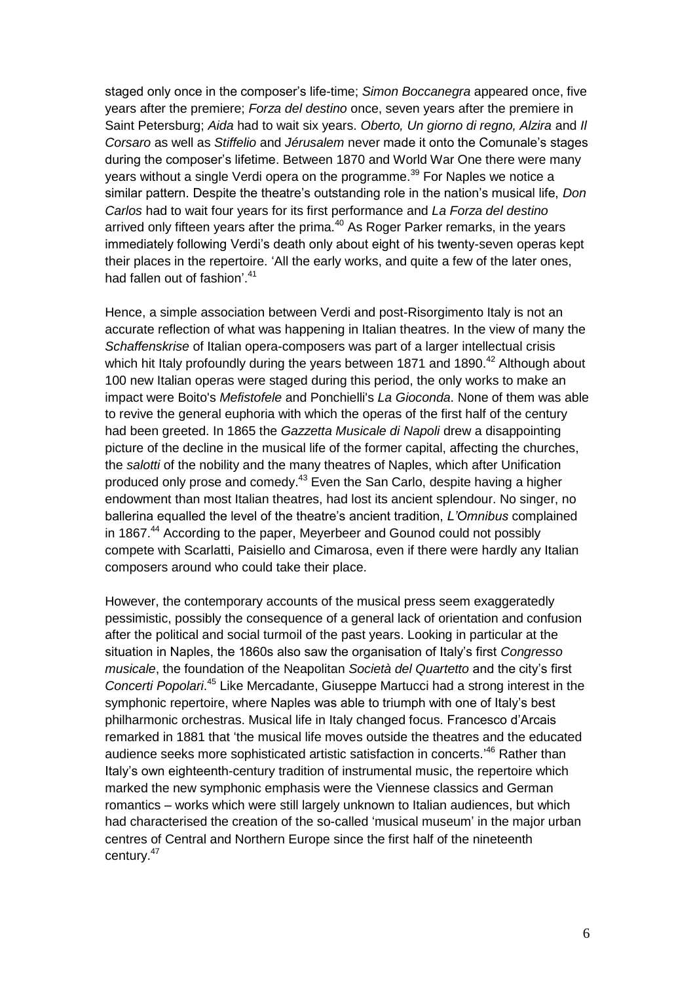staged only once in the composer's life-time; *Simon Boccanegra* appeared once, five years after the premiere; *Forza del destino* once, seven years after the premiere in Saint Petersburg; *Aida* had to wait six years. *Oberto, Un giorno di regno, Alzira* and *Il Corsaro* as well as *Stiffelio* and *Jérusalem* never made it onto the Comunale's stages during the composer's lifetime. Between 1870 and World War One there were many years without a single Verdi opera on the programme.<sup>39</sup> For Naples we notice a similar pattern. Despite the theatre's outstanding role in the nation's musical life, *Don Carlos* had to wait four years for its first performance and *La Forza del destino* arrived only fifteen years after the prima. $40$  As Roger Parker remarks, in the years immediately following Verdi's death only about eight of his twenty-seven operas kept their places in the repertoire. 'All the early works, and quite a few of the later ones, had fallen out of fashion'.<sup>41</sup>

Hence, a simple association between Verdi and post-Risorgimento Italy is not an accurate reflection of what was happening in Italian theatres. In the view of many the *Schaffenskrise* of Italian opera-composers was part of a larger intellectual crisis which hit Italy profoundly during the years between 1871 and 1890. $42$  Although about 100 new Italian operas were staged during this period, the only works to make an impact were Boito's *Mefistofele* and Ponchielli's *La Gioconda*. None of them was able to revive the general euphoria with which the operas of the first half of the century had been greeted. In 1865 the *Gazzetta Musicale di Napoli* drew a disappointing picture of the decline in the musical life of the former capital, affecting the churches, the *salotti* of the nobility and the many theatres of Naples, which after Unification produced only prose and comedy.<sup>43</sup> Even the San Carlo, despite having a higher endowment than most Italian theatres, had lost its ancient splendour. No singer, no ballerina equalled the level of the theatre's ancient tradition, *L'Omnibus* complained in 1867.<sup>44</sup> According to the paper, Meyerbeer and Gounod could not possibly compete with Scarlatti, Paisiello and Cimarosa, even if there were hardly any Italian composers around who could take their place.

However, the contemporary accounts of the musical press seem exaggeratedly pessimistic, possibly the consequence of a general lack of orientation and confusion after the political and social turmoil of the past years. Looking in particular at the situation in Naples, the 1860s also saw the organisation of Italy's first *Congresso musicale*, the foundation of the Neapolitan *Società del Quartetto* and the city's first *Concerti Popolari*. <sup>45</sup> Like Mercadante, Giuseppe Martucci had a strong interest in the symphonic repertoire, where Naples was able to triumph with one of Italy's best philharmonic orchestras. Musical life in Italy changed focus. Francesco d'Arcais remarked in 1881 that 'the musical life moves outside the theatres and the educated audience seeks more sophisticated artistic satisfaction in concerts.<sup>46</sup> Rather than Italy's own eighteenth-century tradition of instrumental music, the repertoire which marked the new symphonic emphasis were the Viennese classics and German romantics – works which were still largely unknown to Italian audiences, but which had characterised the creation of the so-called 'musical museum' in the major urban centres of Central and Northern Europe since the first half of the nineteenth century.<sup>47</sup>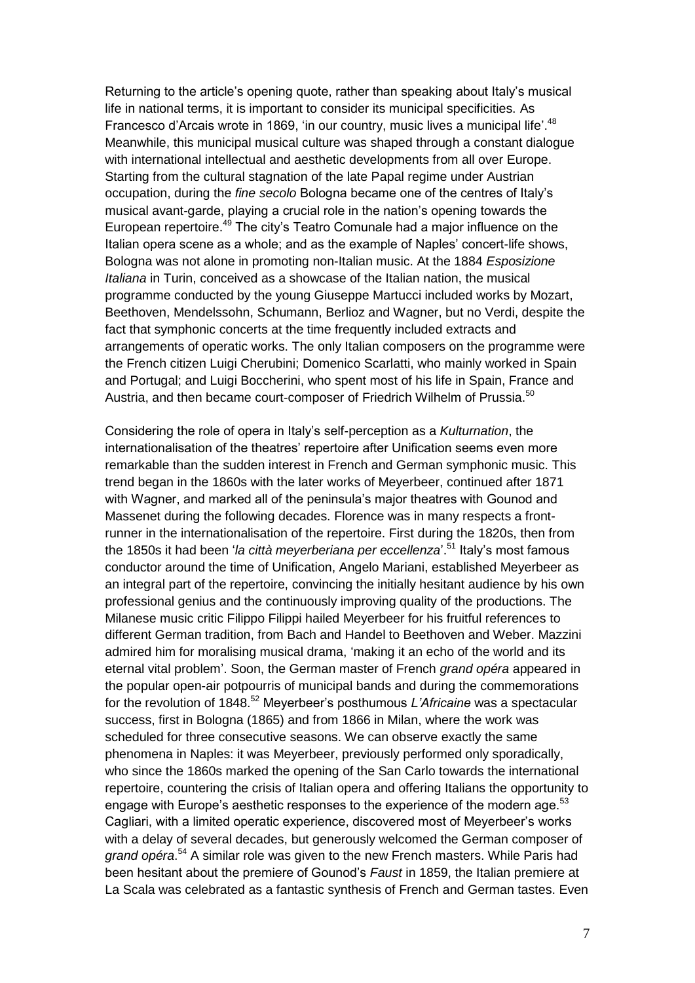Returning to the article's opening quote, rather than speaking about Italy's musical life in national terms, it is important to consider its municipal specificities. As Francesco d'Arcais wrote in 1869, 'in our country, music lives a municipal life'.<sup>48</sup> Meanwhile, this municipal musical culture was shaped through a constant dialogue with international intellectual and aesthetic developments from all over Europe. Starting from the cultural stagnation of the late Papal regime under Austrian occupation, during the *fine secolo* Bologna became one of the centres of Italy's musical avant-garde, playing a crucial role in the nation's opening towards the European repertoire.<sup>49</sup> The city's Teatro Comunale had a major influence on the Italian opera scene as a whole; and as the example of Naples' concert-life shows, Bologna was not alone in promoting non-Italian music. At the 1884 *Esposizione Italiana* in Turin, conceived as a showcase of the Italian nation, the musical programme conducted by the young Giuseppe Martucci included works by Mozart, Beethoven, Mendelssohn, Schumann, Berlioz and Wagner, but no Verdi, despite the fact that symphonic concerts at the time frequently included extracts and arrangements of operatic works. The only Italian composers on the programme were the French citizen Luigi Cherubini; Domenico Scarlatti, who mainly worked in Spain and Portugal; and Luigi Boccherini, who spent most of his life in Spain, France and Austria, and then became court-composer of Friedrich Wilhelm of Prussia.<sup>50</sup>

Considering the role of opera in Italy's self-perception as a *Kulturnation*, the internationalisation of the theatres' repertoire after Unification seems even more remarkable than the sudden interest in French and German symphonic music. This trend began in the 1860s with the later works of Meyerbeer, continued after 1871 with Wagner, and marked all of the peninsula's major theatres with Gounod and Massenet during the following decades. Florence was in many respects a frontrunner in the internationalisation of the repertoire. First during the 1820s, then from the 1850s it had been '*la città meyerberiana per eccellenza*'. <sup>51</sup> Italy's most famous conductor around the time of Unification, Angelo Mariani, established Meyerbeer as an integral part of the repertoire, convincing the initially hesitant audience by his own professional genius and the continuously improving quality of the productions. The Milanese music critic Filippo Filippi hailed Meyerbeer for his fruitful references to different German tradition, from Bach and Handel to Beethoven and Weber. Mazzini admired him for moralising musical drama, 'making it an echo of the world and its eternal vital problem'. Soon, the German master of French *grand opéra* appeared in the popular open-air potpourris of municipal bands and during the commemorations for the revolution of 1848.<sup>52</sup> Meyerbeer's posthumous *L'Africaine* was a spectacular success, first in Bologna (1865) and from 1866 in Milan, where the work was scheduled for three consecutive seasons. We can observe exactly the same phenomena in Naples: it was Meyerbeer, previously performed only sporadically, who since the 1860s marked the opening of the San Carlo towards the international repertoire, countering the crisis of Italian opera and offering Italians the opportunity to engage with Europe's aesthetic responses to the experience of the modern age.<sup>53</sup> Cagliari, with a limited operatic experience, discovered most of Meyerbeer's works with a delay of several decades, but generously welcomed the German composer of *grand opéra*. <sup>54</sup> A similar role was given to the new French masters. While Paris had been hesitant about the premiere of Gounod's *Faust* in 1859, the Italian premiere at La Scala was celebrated as a fantastic synthesis of French and German tastes. Even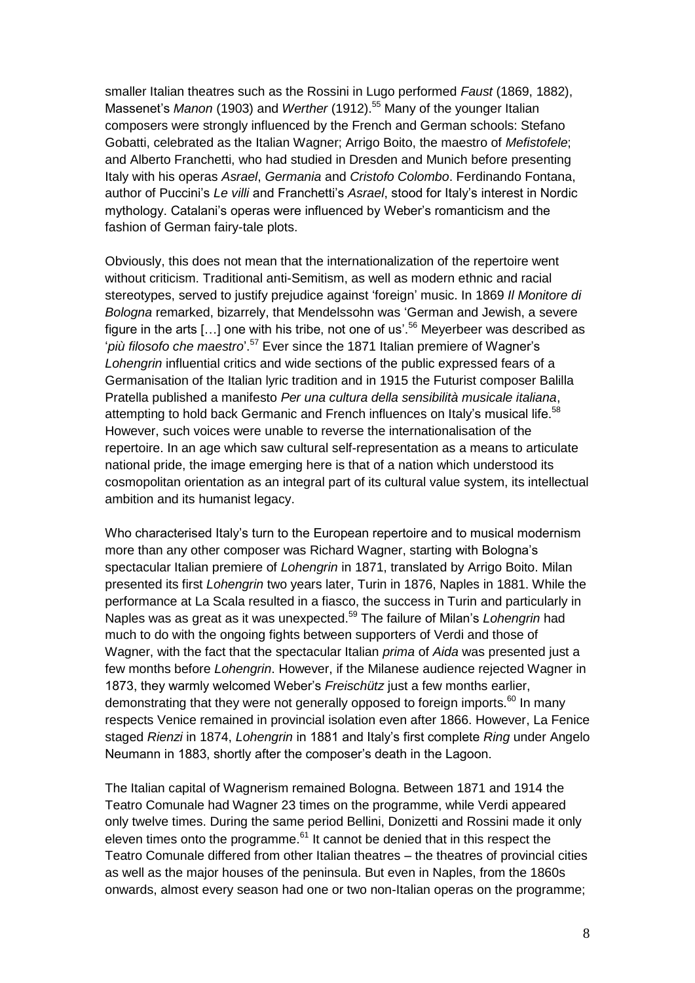smaller Italian theatres such as the Rossini in Lugo performed *Faust* (1869, 1882), Massenet's *Manon* (1903) and *Werther* (1912).<sup>55</sup> Many of the younger Italian composers were strongly influenced by the French and German schools: Stefano Gobatti, celebrated as the Italian Wagner; Arrigo Boito, the maestro of *Mefistofele*; and Alberto Franchetti, who had studied in Dresden and Munich before presenting Italy with his operas *Asrael*, *Germania* and *Cristofo Colombo*. Ferdinando Fontana, author of Puccini's *Le villi* and Franchetti's *Asrael*, stood for Italy's interest in Nordic mythology. Catalani's operas were influenced by Weber's romanticism and the fashion of German fairy-tale plots.

Obviously, this does not mean that the internationalization of the repertoire went without criticism. Traditional anti-Semitism, as well as modern ethnic and racial stereotypes, served to justify prejudice against 'foreign' music. In 1869 *Il Monitore di Bologna* remarked, bizarrely, that Mendelssohn was 'German and Jewish, a severe figure in the arts [...] one with his tribe, not one of us'.<sup>56</sup> Meyerbeer was described as '*più filosofo che maestro*'. <sup>57</sup> Ever since the 1871 Italian premiere of Wagner's *Lohengrin* influential critics and wide sections of the public expressed fears of a Germanisation of the Italian lyric tradition and in 1915 the Futurist composer Balilla Pratella published a manifesto *Per una cultura della sensibilità musicale italiana*, attempting to hold back Germanic and French influences on Italy's musical life.<sup>58</sup> However, such voices were unable to reverse the internationalisation of the repertoire. In an age which saw cultural self-representation as a means to articulate national pride, the image emerging here is that of a nation which understood its cosmopolitan orientation as an integral part of its cultural value system, its intellectual ambition and its humanist legacy.

Who characterised Italy's turn to the European repertoire and to musical modernism more than any other composer was Richard Wagner, starting with Bologna's spectacular Italian premiere of *Lohengrin* in 1871, translated by Arrigo Boito. Milan presented its first *Lohengrin* two years later, Turin in 1876, Naples in 1881. While the performance at La Scala resulted in a fiasco, the success in Turin and particularly in Naples was as great as it was unexpected.<sup>59</sup> The failure of Milan's *Lohengrin* had much to do with the ongoing fights between supporters of Verdi and those of Wagner, with the fact that the spectacular Italian *prima* of *Aida* was presented just a few months before *Lohengrin*. However, if the Milanese audience rejected Wagner in 1873, they warmly welcomed Weber's *Freischütz* just a few months earlier, demonstrating that they were not generally opposed to foreign imports.<sup>60</sup> In many respects Venice remained in provincial isolation even after 1866. However, La Fenice staged *Rienzi* in 1874, *Lohengrin* in 1881 and Italy's first complete *Ring* under Angelo Neumann in 1883, shortly after the composer's death in the Lagoon.

The Italian capital of Wagnerism remained Bologna. Between 1871 and 1914 the Teatro Comunale had Wagner 23 times on the programme, while Verdi appeared only twelve times. During the same period Bellini, Donizetti and Rossini made it only eleven times onto the programme. $61$  It cannot be denied that in this respect the Teatro Comunale differed from other Italian theatres – the theatres of provincial cities as well as the major houses of the peninsula. But even in Naples, from the 1860s onwards, almost every season had one or two non-Italian operas on the programme;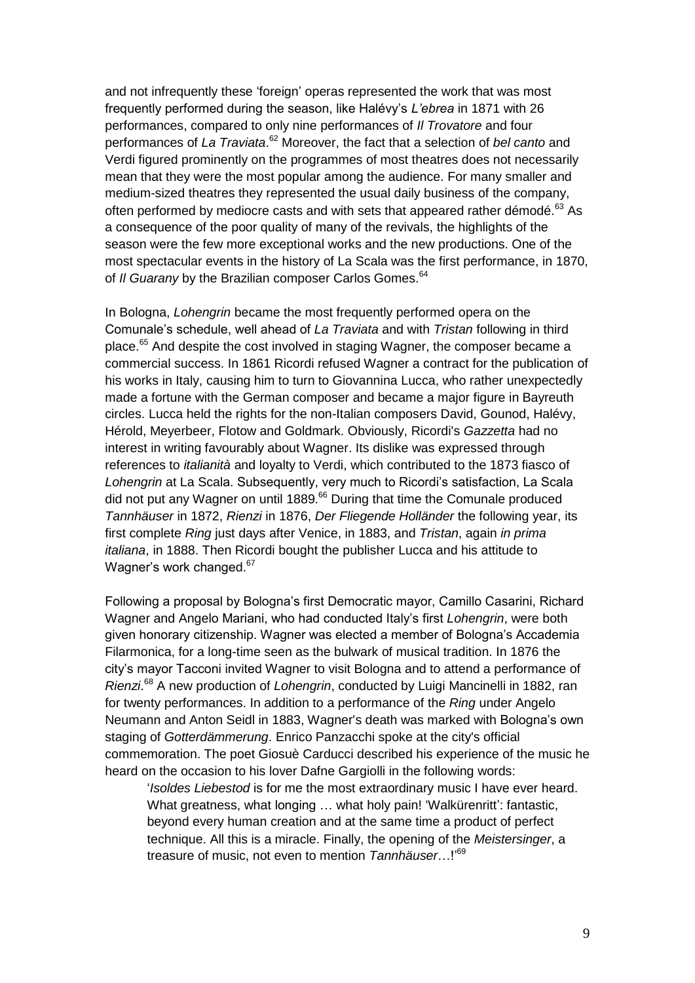and not infrequently these 'foreign' operas represented the work that was most frequently performed during the season, like Halévy's *L'ebrea* in 1871 with 26 performances, compared to only nine performances of *Il Trovatore* and four performances of *La Traviata*.<sup>62</sup> Moreover, the fact that a selection of *bel canto* and Verdi figured prominently on the programmes of most theatres does not necessarily mean that they were the most popular among the audience. For many smaller and medium-sized theatres they represented the usual daily business of the company, often performed by mediocre casts and with sets that appeared rather démodé.<sup>63</sup> As a consequence of the poor quality of many of the revivals, the highlights of the season were the few more exceptional works and the new productions. One of the most spectacular events in the history of La Scala was the first performance, in 1870, of *II Guarany* by the Brazilian composer Carlos Gomes.<sup>64</sup>

In Bologna, *Lohengrin* became the most frequently performed opera on the Comunale's schedule, well ahead of *La Traviata* and with *Tristan* following in third place.<sup>65</sup> And despite the cost involved in staging Wagner, the composer became a commercial success. In 1861 Ricordi refused Wagner a contract for the publication of his works in Italy, causing him to turn to Giovannina Lucca, who rather unexpectedly made a fortune with the German composer and became a major figure in Bayreuth circles. Lucca held the rights for the non-Italian composers David, Gounod, Halévy, Hérold, Meyerbeer, Flotow and Goldmark. Obviously, Ricordi's *Gazzetta* had no interest in writing favourably about Wagner. Its dislike was expressed through references to *italianità* and loyalty to Verdi, which contributed to the 1873 fiasco of *Lohengrin* at La Scala. Subsequently, very much to Ricordi's satisfaction, La Scala did not put any Wagner on until 1889.<sup>66</sup> During that time the Comunale produced *Tannhäuser* in 1872, *Rienzi* in 1876, *Der Fliegende Holländer* the following year, its first complete *Ring* just days after Venice, in 1883, and *Tristan*, again *in prima italiana*, in 1888. Then Ricordi bought the publisher Lucca and his attitude to Wagner's work changed.<sup>67</sup>

Following a proposal by Bologna's first Democratic mayor, Camillo Casarini, Richard Wagner and Angelo Mariani, who had conducted Italy's first *Lohengrin*, were both given honorary citizenship. Wagner was elected a member of Bologna's Accademia Filarmonica, for a long-time seen as the bulwark of musical tradition. In 1876 the city's mayor Tacconi invited Wagner to visit Bologna and to attend a performance of *Rienzi*. <sup>68</sup> A new production of *Lohengrin*, conducted by Luigi Mancinelli in 1882, ran for twenty performances. In addition to a performance of the *Ring* under Angelo Neumann and Anton Seidl in 1883, Wagner's death was marked with Bologna's own staging of *Gotterdämmerung*. Enrico Panzacchi spoke at the city's official commemoration. The poet Giosuè Carducci described his experience of the music he heard on the occasion to his lover Dafne Gargiolli in the following words:

'*Isoldes Liebestod* is for me the most extraordinary music I have ever heard. What greatness, what longing ... what holy pain! 'Walkürenritt': fantastic, beyond every human creation and at the same time a product of perfect technique. All this is a miracle. Finally, the opening of the *Meistersinger*, a treasure of music, not even to mention *Tannhäuser*…!' 69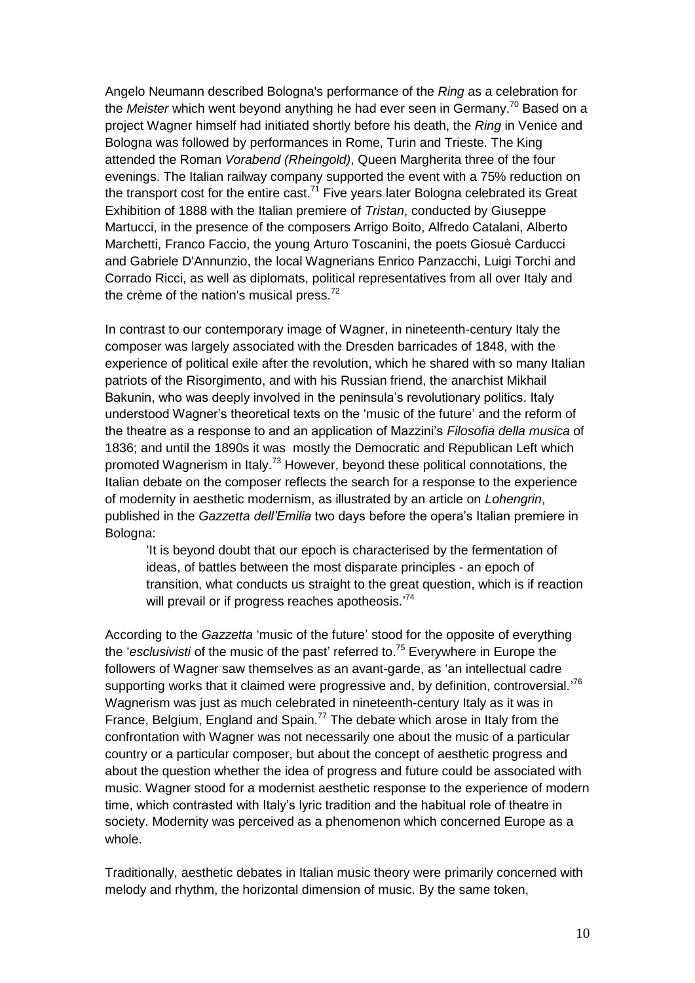Angelo Neumann described Bologna's performance of the *Ring* as a celebration for the *Meister* which went beyond anything he had ever seen in Germany.<sup>70</sup> Based on a project Wagner himself had initiated shortly before his death, the *Ring* in Venice and Bologna was followed by performances in Rome, Turin and Trieste. The King attended the Roman *Vorabend (Rheingold)*, Queen Margherita three of the four evenings. The Italian railway company supported the event with a 75% reduction on the transport cost for the entire cast.<sup>71</sup> Five years later Bologna celebrated its Great Exhibition of 1888 with the Italian premiere of *Tristan*, conducted by Giuseppe Martucci, in the presence of the composers Arrigo Boito, Alfredo Catalani, Alberto Marchetti, Franco Faccio, the young Arturo Toscanini, the poets Giosuè Carducci and Gabriele D'Annunzio, the local Wagnerians Enrico Panzacchi, Luigi Torchi and Corrado Ricci, as well as diplomats, political representatives from all over Italy and the crème of the nation's musical press.<sup>72</sup>

In contrast to our contemporary image of Wagner, in nineteenth-century Italy the composer was largely associated with the Dresden barricades of 1848, with the experience of political exile after the revolution, which he shared with so many Italian patriots of the Risorgimento, and with his Russian friend, the anarchist Mikhail Bakunin, who was deeply involved in the peninsula's revolutionary politics. Italy understood Wagner's theoretical texts on the 'music of the future' and the reform of the theatre as a response to and an application of Mazzini's *Filosofia della musica* of 1836; and until the 1890s it was mostly the Democratic and Republican Left which promoted Wagnerism in Italy.<sup>73</sup> However, beyond these political connotations, the Italian debate on the composer reflects the search for a response to the experience of modernity in aesthetic modernism, as illustrated by an article on *Lohengrin*, published in the *Gazzetta dell'Emilia* two days before the opera's Italian premiere in Bologna:

'It is beyond doubt that our epoch is characterised by the fermentation of ideas, of battles between the most disparate principles - an epoch of transition, what conducts us straight to the great question, which is if reaction will prevail or if progress reaches apotheosis.'<sup>74</sup>

According to the *Gazzetta* 'music of the future' stood for the opposite of everything the '*esclusivisti* of the music of the past' referred to.<sup>75</sup> Everywhere in Europe the followers of Wagner saw themselves as an avant-garde, as 'an intellectual cadre supporting works that it claimed were progressive and, by definition, controversial.'<sup>76</sup> Wagnerism was just as much celebrated in nineteenth-century Italy as it was in France, Belgium, England and Spain.<sup>77</sup> The debate which arose in Italy from the confrontation with Wagner was not necessarily one about the music of a particular country or a particular composer, but about the concept of aesthetic progress and about the question whether the idea of progress and future could be associated with music. Wagner stood for a modernist aesthetic response to the experience of modern time, which contrasted with Italy's lyric tradition and the habitual role of theatre in society. Modernity was perceived as a phenomenon which concerned Europe as a whole.

Traditionally, aesthetic debates in Italian music theory were primarily concerned with melody and rhythm, the horizontal dimension of music. By the same token,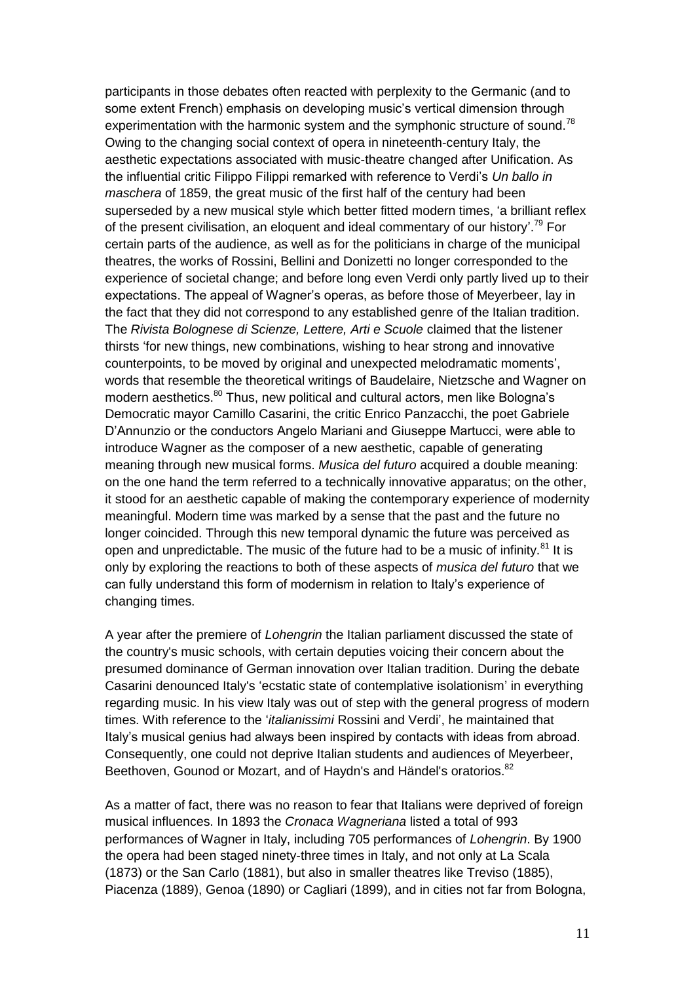participants in those debates often reacted with perplexity to the Germanic (and to some extent French) emphasis on developing music's vertical dimension through experimentation with the harmonic system and the symphonic structure of sound.<sup>78</sup> Owing to the changing social context of opera in nineteenth-century Italy, the aesthetic expectations associated with music-theatre changed after Unification. As the influential critic Filippo Filippi remarked with reference to Verdi's *Un ballo in maschera* of 1859, the great music of the first half of the century had been superseded by a new musical style which better fitted modern times, 'a brilliant reflex of the present civilisation, an eloquent and ideal commentary of our history'.<sup>79</sup> For certain parts of the audience, as well as for the politicians in charge of the municipal theatres, the works of Rossini, Bellini and Donizetti no longer corresponded to the experience of societal change; and before long even Verdi only partly lived up to their expectations. The appeal of Wagner's operas, as before those of Meyerbeer, lay in the fact that they did not correspond to any established genre of the Italian tradition. The *Rivista Bolognese di Scienze, Lettere, Arti e Scuole* claimed that the listener thirsts 'for new things, new combinations, wishing to hear strong and innovative counterpoints, to be moved by original and unexpected melodramatic moments', words that resemble the theoretical writings of Baudelaire, Nietzsche and Wagner on modern aesthetics.<sup>80</sup> Thus, new political and cultural actors, men like Bologna's Democratic mayor Camillo Casarini, the critic Enrico Panzacchi, the poet Gabriele D'Annunzio or the conductors Angelo Mariani and Giuseppe Martucci, were able to introduce Wagner as the composer of a new aesthetic, capable of generating meaning through new musical forms. *Musica del futuro* acquired a double meaning: on the one hand the term referred to a technically innovative apparatus; on the other, it stood for an aesthetic capable of making the contemporary experience of modernity meaningful. Modern time was marked by a sense that the past and the future no longer coincided. Through this new temporal dynamic the future was perceived as open and unpredictable. The music of the future had to be a music of infinity.<sup>81</sup> It is only by exploring the reactions to both of these aspects of *musica del futuro* that we can fully understand this form of modernism in relation to Italy's experience of changing times.

A year after the premiere of *Lohengrin* the Italian parliament discussed the state of the country's music schools, with certain deputies voicing their concern about the presumed dominance of German innovation over Italian tradition. During the debate Casarini denounced Italy's 'ecstatic state of contemplative isolationism' in everything regarding music. In his view Italy was out of step with the general progress of modern times. With reference to the '*italianissimi* Rossini and Verdi', he maintained that Italy's musical genius had always been inspired by contacts with ideas from abroad. Consequently, one could not deprive Italian students and audiences of Meyerbeer, Beethoven, Gounod or Mozart, and of Haydn's and Händel's oratorios.<sup>82</sup>

As a matter of fact, there was no reason to fear that Italians were deprived of foreign musical influences. In 1893 the *Cronaca Wagneriana* listed a total of 993 performances of Wagner in Italy, including 705 performances of *Lohengrin*. By 1900 the opera had been staged ninety-three times in Italy, and not only at La Scala (1873) or the San Carlo (1881), but also in smaller theatres like Treviso (1885), Piacenza (1889), Genoa (1890) or Cagliari (1899), and in cities not far from Bologna,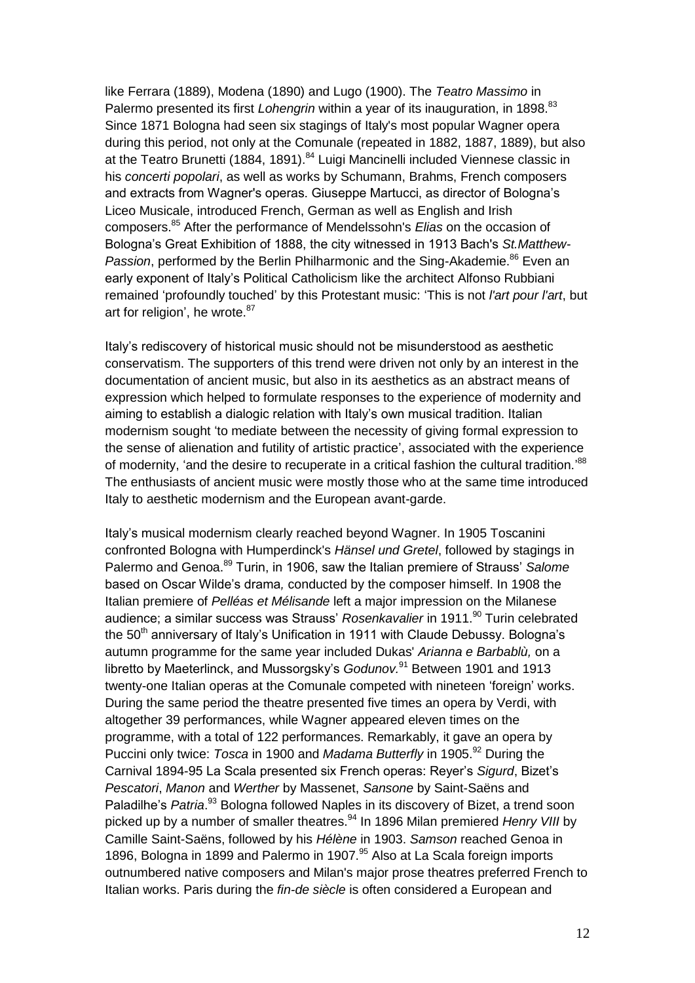like Ferrara (1889), Modena (1890) and Lugo (1900). The *Teatro Massimo* in Palermo presented its first *Lohengrin* within a year of its inauguration, in 1898.<sup>83</sup> Since 1871 Bologna had seen six stagings of Italy's most popular Wagner opera during this period, not only at the Comunale (repeated in 1882, 1887, 1889), but also at the Teatro Brunetti (1884, 1891).<sup>84</sup> Luigi Mancinelli included Viennese classic in his *concerti popolari*, as well as works by Schumann, Brahms, French composers and extracts from Wagner's operas. Giuseppe Martucci, as director of Bologna's Liceo Musicale, introduced French, German as well as English and Irish composers.<sup>85</sup> After the performance of Mendelssohn's *Elias* on the occasion of Bologna's Great Exhibition of 1888, the city witnessed in 1913 Bach's *St.Matthew-Passion*, performed by the Berlin Philharmonic and the Sing-Akademie.<sup>86</sup> Even an early exponent of Italy's Political Catholicism like the architect Alfonso Rubbiani remained 'profoundly touched' by this Protestant music: 'This is not *l'art pour l'art*, but art for religion', he wrote.<sup>87</sup>

Italy's rediscovery of historical music should not be misunderstood as aesthetic conservatism. The supporters of this trend were driven not only by an interest in the documentation of ancient music, but also in its aesthetics as an abstract means of expression which helped to formulate responses to the experience of modernity and aiming to establish a dialogic relation with Italy's own musical tradition. Italian modernism sought 'to mediate between the necessity of giving formal expression to the sense of alienation and futility of artistic practice', associated with the experience of modernity, 'and the desire to recuperate in a critical fashion the cultural tradition.'<sup>88</sup> The enthusiasts of ancient music were mostly those who at the same time introduced Italy to aesthetic modernism and the European avant-garde.

Italy's musical modernism clearly reached beyond Wagner. In 1905 Toscanini confronted Bologna with Humperdinck's *Hänsel und Gretel*, followed by stagings in Palermo and Genoa.<sup>89</sup> Turin, in 1906, saw the Italian premiere of Strauss' *Salome* based on Oscar Wilde's drama*,* conducted by the composer himself. In 1908 the Italian premiere of *Pelléas et Mélisande* left a major impression on the Milanese audience; a similar success was Strauss' *Rosenkavalier* in 1911.<sup>90</sup> Turin celebrated the 50<sup>th</sup> anniversary of Italy's Unification in 1911 with Claude Debussy. Bologna's autumn programme for the same year included Dukas' *Arianna e Barbablù,* on a libretto by Maeterlinck, and Mussorgsky's *Godunov*.<sup>91</sup> Between 1901 and 1913 twenty-one Italian operas at the Comunale competed with nineteen 'foreign' works. During the same period the theatre presented five times an opera by Verdi, with altogether 39 performances, while Wagner appeared eleven times on the programme, with a total of 122 performances. Remarkably, it gave an opera by Puccini only twice: *Tosca* in 1900 and *Madama Butterfly* in 1905.<sup>92</sup> During the Carnival 1894-95 La Scala presented six French operas: Reyer's *Sigurd*, Bizet's *Pescatori*, *Manon* and *Werther* by Massenet, *Sansone* by Saint-Saëns and Paladilhe's Patria.<sup>93</sup> Bologna followed Naples in its discovery of Bizet, a trend soon picked up by a number of smaller theatres.<sup>94</sup> In 1896 Milan premiered *Henry VIII* by Camille Saint-Saëns, followed by his *Hélène* in 1903. *Samson* reached Genoa in 1896, Bologna in 1899 and Palermo in 1907.<sup>95</sup> Also at La Scala foreign imports outnumbered native composers and Milan's major prose theatres preferred French to Italian works. Paris during the *fin-de siècle* is often considered a European and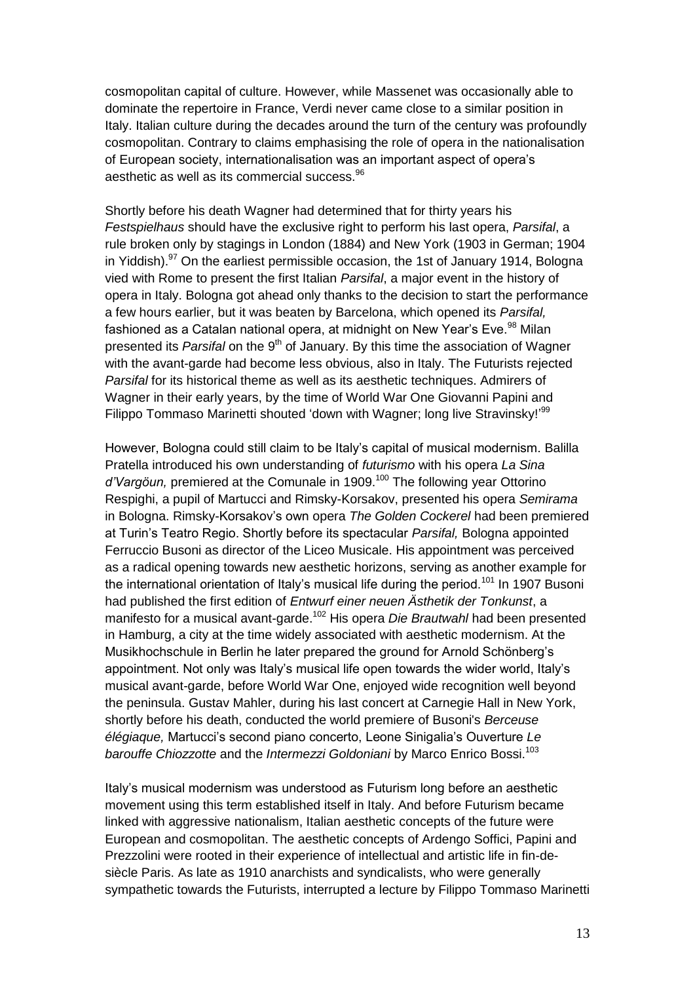cosmopolitan capital of culture. However, while Massenet was occasionally able to dominate the repertoire in France, Verdi never came close to a similar position in Italy. Italian culture during the decades around the turn of the century was profoundly cosmopolitan. Contrary to claims emphasising the role of opera in the nationalisation of European society, internationalisation was an important aspect of opera's aesthetic as well as its commercial success.<sup>96</sup>

Shortly before his death Wagner had determined that for thirty years his *Festspielhaus* should have the exclusive right to perform his last opera, *Parsifal*, a rule broken only by stagings in London (1884) and New York (1903 in German; 1904 in Yiddish). $97$  On the earliest permissible occasion, the 1st of January 1914, Bologna vied with Rome to present the first Italian *Parsifal*, a major event in the history of opera in Italy. Bologna got ahead only thanks to the decision to start the performance a few hours earlier, but it was beaten by Barcelona, which opened its *Parsifal,* fashioned as a Catalan national opera, at midnight on New Year's Eve.<sup>98</sup> Milan presented its *Parsifal* on the 9<sup>th</sup> of January. By this time the association of Wagner with the avant-garde had become less obvious, also in Italy. The Futurists rejected *Parsifal* for its historical theme as well as its aesthetic techniques. Admirers of Wagner in their early years, by the time of World War One Giovanni Papini and Filippo Tommaso Marinetti shouted 'down with Wagner; long live Stravinsky!'<sup>99</sup>

However, Bologna could still claim to be Italy's capital of musical modernism. Balilla Pratella introduced his own understanding of *futurismo* with his opera *La Sina*  d'Vargöun, premiered at the Comunale in 1909.<sup>100</sup> The following year Ottorino Respighi, a pupil of Martucci and Rimsky-Korsakov, presented his opera *Semirama* in Bologna. Rimsky-Korsakov's own opera *The Golden Cockerel* had been premiered at Turin's Teatro Regio. Shortly before its spectacular *Parsifal,* Bologna appointed Ferruccio Busoni as director of the Liceo Musicale. His appointment was perceived as a radical opening towards new aesthetic horizons, serving as another example for the international orientation of Italy's musical life during the period.<sup>101</sup> In 1907 Busoni had published the first edition of *Entwurf einer neuen Ästhetik der Tonkunst*, a manifesto for a musical avant-garde.<sup>102</sup> His opera *Die Brautwahl* had been presented in Hamburg, a city at the time widely associated with aesthetic modernism. At the Musikhochschule in Berlin he later prepared the ground for Arnold Schönberg's appointment. Not only was Italy's musical life open towards the wider world, Italy's musical avant-garde, before World War One, enjoyed wide recognition well beyond the peninsula. Gustav Mahler, during his last concert at Carnegie Hall in New York, shortly before his death, conducted the world premiere of Busoni's *Berceuse élégiaque,* Martucci's second piano concerto, Leone Sinigalia's Ouverture *Le barouffe Chiozzotte* and the *Intermezzi Goldoniani* by Marco Enrico Bossi.<sup>103</sup>

Italy's musical modernism was understood as Futurism long before an aesthetic movement using this term established itself in Italy. And before Futurism became linked with aggressive nationalism, Italian aesthetic concepts of the future were European and cosmopolitan. The aesthetic concepts of Ardengo Soffici, Papini and Prezzolini were rooted in their experience of intellectual and artistic life in fin-desiècle Paris. As late as 1910 anarchists and syndicalists, who were generally sympathetic towards the Futurists, interrupted a lecture by Filippo Tommaso Marinetti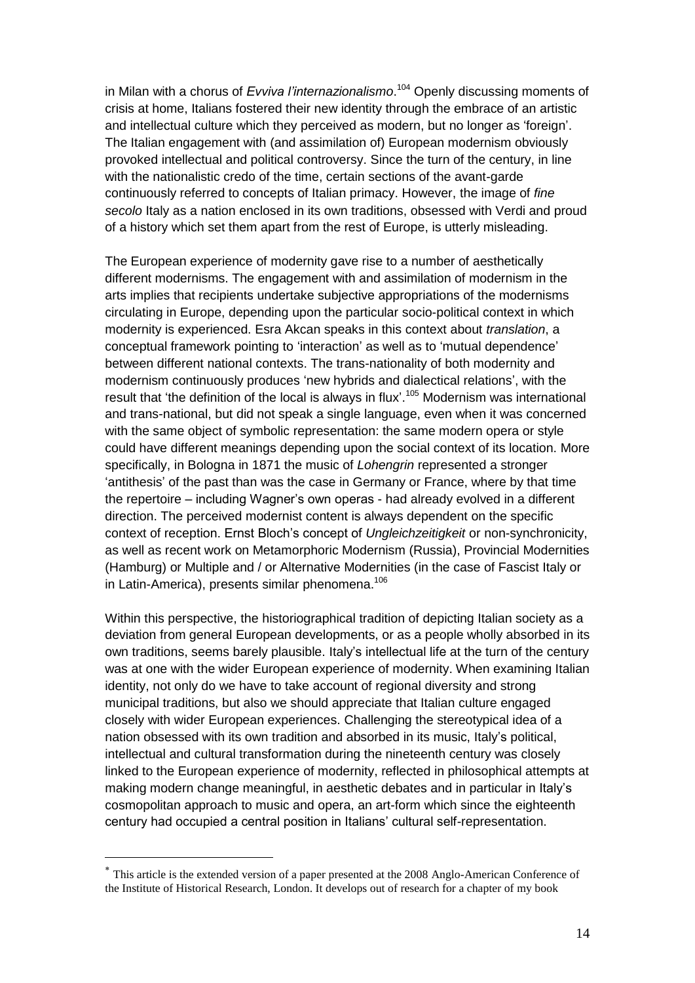in Milan with a chorus of *Evviva l'internazionalismo*. <sup>104</sup> Openly discussing moments of crisis at home, Italians fostered their new identity through the embrace of an artistic and intellectual culture which they perceived as modern, but no longer as 'foreign'. The Italian engagement with (and assimilation of) European modernism obviously provoked intellectual and political controversy. Since the turn of the century, in line with the nationalistic credo of the time, certain sections of the avant-garde continuously referred to concepts of Italian primacy. However, the image of *fine secolo* Italy as a nation enclosed in its own traditions, obsessed with Verdi and proud of a history which set them apart from the rest of Europe, is utterly misleading.

The European experience of modernity gave rise to a number of aesthetically different modernisms. The engagement with and assimilation of modernism in the arts implies that recipients undertake subjective appropriations of the modernisms circulating in Europe, depending upon the particular socio-political context in which modernity is experienced. Esra Akcan speaks in this context about *translation*, a conceptual framework pointing to 'interaction' as well as to 'mutual dependence' between different national contexts. The trans-nationality of both modernity and modernism continuously produces 'new hybrids and dialectical relations', with the result that 'the definition of the local is always in flux'.<sup>105</sup> Modernism was international and trans-national, but did not speak a single language, even when it was concerned with the same object of symbolic representation: the same modern opera or style could have different meanings depending upon the social context of its location. More specifically, in Bologna in 1871 the music of *Lohengrin* represented a stronger 'antithesis' of the past than was the case in Germany or France, where by that time the repertoire – including Wagner's own operas - had already evolved in a different direction. The perceived modernist content is always dependent on the specific context of reception. Ernst Bloch's concept of *Ungleichzeitigkeit* or non-synchronicity, as well as recent work on Metamorphoric Modernism (Russia), Provincial Modernities (Hamburg) or Multiple and / or Alternative Modernities (in the case of Fascist Italy or in Latin-America), presents similar phenomena.<sup>106</sup>

Within this perspective, the historiographical tradition of depicting Italian society as a deviation from general European developments, or as a people wholly absorbed in its own traditions, seems barely plausible. Italy's intellectual life at the turn of the century was at one with the wider European experience of modernity. When examining Italian identity, not only do we have to take account of regional diversity and strong municipal traditions, but also we should appreciate that Italian culture engaged closely with wider European experiences. Challenging the stereotypical idea of a nation obsessed with its own tradition and absorbed in its music, Italy's political, intellectual and cultural transformation during the nineteenth century was closely linked to the European experience of modernity, reflected in philosophical attempts at making modern change meaningful, in aesthetic debates and in particular in Italy's cosmopolitan approach to music and opera, an art-form which since the eighteenth century had occupied a central position in Italians' cultural self-representation.

1

<sup>×</sup> This article is the extended version of a paper presented at the 2008 Anglo-American Conference of the Institute of Historical Research, London. It develops out of research for a chapter of my book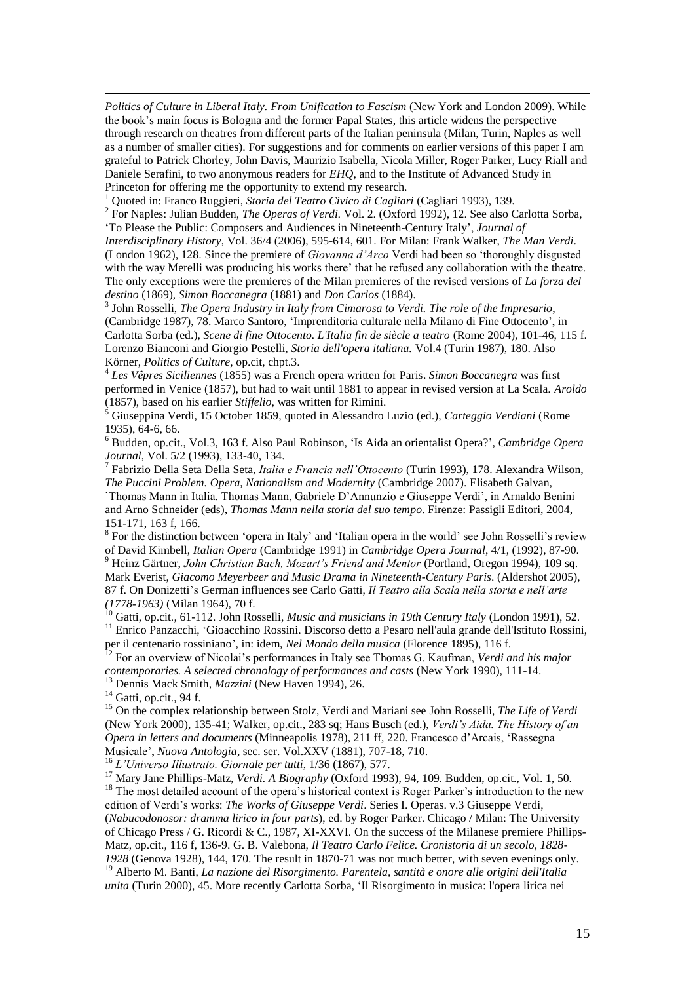*Politics of Culture in Liberal Italy. From Unification to Fascism* (New York and London 2009). While the book's main focus is Bologna and the former Papal States, this article widens the perspective through research on theatres from different parts of the Italian peninsula (Milan, Turin, Naples as well as a number of smaller cities). For suggestions and for comments on earlier versions of this paper I am grateful to Patrick Chorley, John Davis, Maurizio Isabella, Nicola Miller, Roger Parker, Lucy Riall and Daniele Serafini, to two anonymous readers for *EHQ*, and to the Institute of Advanced Study in Princeton for offering me the opportunity to extend my research.

<sup>1</sup> Quoted in: Franco Ruggieri, *Storia del Teatro Civico di Cagliari* (Cagliari 1993), 139.

2 For Naples: Julian Budden, *The Operas of Verdi.* Vol. 2. (Oxford 1992), 12. See also Carlotta Sorba, 'To Please the Public: Composers and Audiences in Nineteenth-Century Italy', *Journal of* 

*Interdisciplinary History*, Vol. 36/4 (2006), 595-614, 601. For Milan: Frank Walker, *The Man Verdi*. (London 1962), 128. Since the premiere of *Giovanna d'Arco* Verdi had been so 'thoroughly disgusted with the way Merelli was producing his works there' that he refused any collaboration with the theatre. The only exceptions were the premieres of the Milan premieres of the revised versions of *La forza del destino* (1869), *Simon Boccanegra* (1881) and *Don Carlos* (1884).

3 John Rosselli, *The Opera Industry in Italy from Cimarosa to Verdi. The role of the Impresario*, (Cambridge 1987), 78. Marco Santoro, 'Imprenditoria culturale nella Milano di Fine Ottocento', in Carlotta Sorba (ed.), *Scene di fine Ottocento. L'Italia fin de siècle a teatro* (Rome 2004), 101-46, 115 f. Lorenzo Bianconi and Giorgio Pestelli, *Storia dell'opera italiana.* Vol.4 (Turin 1987), 180. Also Körner, *Politics of Culture,* op.cit, chpt.3.

4 *Les Vêpres Siciliennes* (1855) was a French opera written for Paris. *Simon Boccanegra* was first performed in Venice (1857), but had to wait until 1881 to appear in revised version at La Scala. *Aroldo* (1857), based on his earlier *Stiffelio*, was written for Rimini.

<sup>5</sup> Giuseppina Verdi, 15 October 1859, quoted in Alessandro Luzio (ed.), *Carteggio Verdiani* (Rome 1935), 64-6, 66.

<sup>6</sup> Budden, op.cit., Vol.3, 163 f. Also Paul Robinson, 'Is Aida an orientalist Opera?', *Cambridge Opera Journal*, Vol. 5/2 (1993), 133-40, 134.

7 Fabrizio Della Seta Della Seta, *Italia e Francia nell'Ottocento* (Turin 1993), 178. Alexandra Wilson, *The Puccini Problem. Opera, Nationalism and Modernity* (Cambridge 2007). Elisabeth Galvan,

`Thomas Mann in Italia. Thomas Mann, Gabriele D'Annunzio e Giuseppe Verdi', in Arnaldo Benini and Arno Schneider (eds), *Thomas Mann nella storia del suo tempo*. Firenze: Passigli Editori, 2004, 151-171, 163 f, 166.

<sup>8</sup> For the distinction between 'opera in Italy' and 'Italian opera in the world' see John Rosselli's review of David Kimbell, *Italian Opera* (Cambridge 1991) in *Cambridge Opera Journal*, 4/1, (1992), 87-90.

<sup>9</sup> Heinz Gärtner, *John Christian Bach, Mozart's Friend and Mentor* (Portland, Oregon 1994), 109 sq. Mark Everist, *Giacomo Meyerbeer and Music Drama in Nineteenth-Century Paris*. (Aldershot 2005), 87 f. On Donizetti's German influences see Carlo Gatti, *Il Teatro alla Scala nella storia e nell'arte (1778-1963)* (Milan 1964), 70 f.

<sup>10</sup> Gatti, op.cit., 61-112. John Rosselli, *Music and musicians in 19th Century Italy* (London 1991), 52. <sup>11</sup> Enrico Panzacchi, 'Gioacchino Rossini. Discorso detto a Pesaro nell'aula grande dell'Istituto Rossini,

per il centenario rossiniano', in: idem, *Nel Mondo della musica* (Florence 1895), 116 f.

<sup>12</sup> For an overview of Nicolai's performances in Italy see Thomas G. Kaufman, *Verdi and his major contemporaries. A selected chronology of performances and casts* (New York 1990), 111-14.

<sup>13</sup> Dennis Mack Smith, *Mazzini* (New Haven 1994), 26.

 $14$  Gatti, op.cit., 94 f.

<u>.</u>

<sup>15</sup> On the complex relationship between Stolz, Verdi and Mariani see John Rosselli, *The Life of Verdi* (New York 2000), 135-41; Walker, op.cit., 283 sq; Hans Busch (ed.), *Verdi's Aida. The History of an Opera in letters and documents* (Minneapolis 1978), 211 ff, 220. Francesco d'Arcais, 'Rassegna Musicale', *Nuova Antologia*, sec. ser. Vol.XXV (1881), 707-18, 710.

<sup>16</sup> *L'Universo Illustrato. Giornale per tutti*, 1/36 (1867), 577.

<sup>17</sup> Mary Jane Phillips-Matz, *Verdi. A Biography* (Oxford 1993), 94, 109. Budden, op.cit., Vol. 1, 50. <sup>18</sup> The most detailed account of the opera's historical context is Roger Parker's introduction to the new edition of Verdi's works: *The Works of Giuseppe Verdi*. Series I. Operas. v.3 Giuseppe Verdi, (*Nabucodonosor: dramma lirico in four parts*), ed. by Roger Parker. Chicago / Milan: The University of Chicago Press / G. Ricordi & C., 1987, XI-XXVI. On the success of the Milanese premiere Phillips-Matz, op.cit.*,* 116 f, 136-9. G. B. Valebona, *Il Teatro Carlo Felice. Cronistoria di un secolo, 1828- 1928* (Genova 1928), 144, 170. The result in 1870-71 was not much better, with seven evenings only. <sup>19</sup> Alberto M. Banti, *La nazione del Risorgimento. Parentela, santità e onore alle origini dell'Italia* 

*unita* (Turin 2000), 45. More recently Carlotta Sorba, 'Il Risorgimento in musica: l'opera lirica nei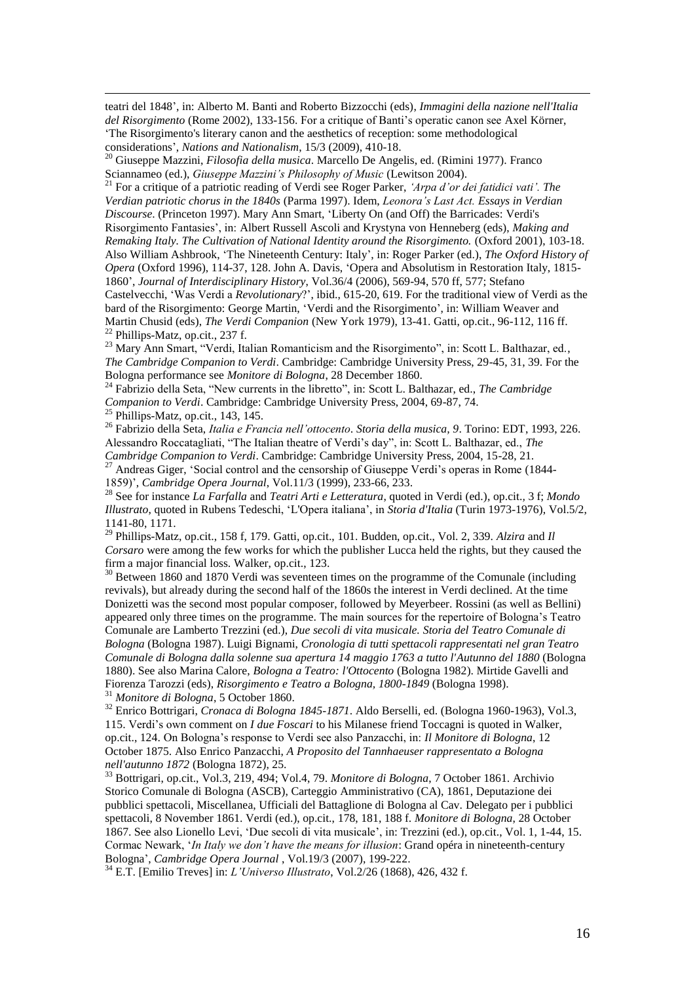teatri del 1848', in: Alberto M. Banti and Roberto Bizzocchi (eds), *Immagini della nazione nell'Italia del Risorgimento* (Rome 2002), 133-156. For a critique of Banti's operatic canon see Axel Körner, 'The Risorgimento's literary canon and the aesthetics of reception: some methodological considerations', *Nations and Nationalism*, 15/3 (2009), 410-18.

<sup>20</sup> Giuseppe Mazzini, *Filosofia della musica*. Marcello De Angelis, ed. (Rimini 1977). Franco Sciannameo (ed.), *Giuseppe Mazzini's Philosophy of Music* (Lewitson 2004).

<sup>21</sup> For a critique of a patriotic reading of Verdi see Roger Parker, *'Arpa d'or dei fatidici vati'. The Verdian patriotic chorus in the 1840s* (Parma 1997). Idem, *Leonora's Last Act. Essays in Verdian Discourse*. (Princeton 1997). Mary Ann Smart, 'Liberty On (and Off) the Barricades: Verdi's Risorgimento Fantasies', in: Albert Russell Ascoli and Krystyna von Henneberg (eds), *Making and Remaking Italy. The Cultivation of National Identity around the Risorgimento.* (Oxford 2001), 103-18. Also William Ashbrook, 'The Nineteenth Century: Italy', in: Roger Parker (ed.), *The Oxford History of Opera* (Oxford 1996), 114-37, 128. John A. Davis, 'Opera and Absolutism in Restoration Italy, 1815- 1860', *Journal of Interdisciplinary History*, Vol.36/4 (2006), 569-94, 570 ff, 577; Stefano Castelvecchi, 'Was Verdi a *Revolutionary*?', ibid., 615-20, 619. For the traditional view of Verdi as the bard of the Risorgimento: George Martin, 'Verdi and the Risorgimento', in: William Weaver and Martin Chusid (eds), *The Verdi Companion* (New York 1979), 13-41. Gatti, op.cit., 96-112, 116 ff.  $22$  Phillips-Matz, op.cit., 237 f.

<sup>23</sup> Mary Ann Smart, "Verdi, Italian Romanticism and the Risorgimento", in: Scott L. Balthazar, ed., *The Cambridge Companion to Verdi*. Cambridge: Cambridge University Press, 29-45, 31, 39. For the Bologna performance see *Monitore di Bologna*, 28 December 1860.

<sup>24</sup> Fabrizio della Seta, "New currents in the libretto", in: Scott L. Balthazar, ed., *The Cambridge Companion to Verdi*. Cambridge: Cambridge University Press, 2004, 69-87, 74.

 $^{25}$  Phillips-Matz, op.cit., 143, 145.

<u>.</u>

<sup>26</sup> Fabrizio della Seta, *Italia e Francia nell'ottocento. Storia della musica, 9*. Torino: EDT, 1993, 226. Alessandro Roccatagliati, "The Italian theatre of Verdi's day", in: Scott L. Balthazar, ed., *The Cambridge Companion to Verdi*. Cambridge: Cambridge University Press, 2004, 15-28, 21. <sup>27</sup> Andreas Giger, 'Social control and the censorship of Giuseppe Verdi's operas in Rome (1844-1859)', *Cambridge Opera Journal*, Vol.11/3 (1999), 233-66, 233.

<sup>28</sup> See for instance *La Farfalla* and *Teatri Arti e Letteratura*, quoted in Verdi (ed.), op.cit.*,* 3 f; *Mondo Illustrato*, quoted in Rubens Tedeschi, 'L'Opera italiana', in *Storia d'Italia* (Turin 1973-1976), Vol.5/2, 1141-80, 1171.

<sup>29</sup> Phillips-Matz, op.cit., 158 f, 179. Gatti, op.cit., 101. Budden, op.cit., Vol. 2, 339. *Alzira* and *Il Corsaro* were among the few works for which the publisher Lucca held the rights, but they caused the firm a major financial loss. Walker, op.cit., 123.

<sup>30</sup> Between 1860 and 1870 Verdi was seventeen times on the programme of the Comunale (including revivals), but already during the second half of the 1860s the interest in Verdi declined. At the time Donizetti was the second most popular composer, followed by Meyerbeer. Rossini (as well as Bellini) appeared only three times on the programme. The main sources for the repertoire of Bologna's Teatro Comunale are Lamberto Trezzini (ed.), *Due secoli di vita musicale. Storia del Teatro Comunale di Bologna* (Bologna 1987). Luigi Bignami, *Cronologia di tutti spettacoli rappresentati nel gran Teatro Comunale di Bologna dalla solenne sua apertura 14 maggio 1763 a tutto l'Autunno del 1880* (Bologna 1880). See also Marina Calore, *Bologna a Teatro: l'Ottocento* (Bologna 1982). Mirtide Gavelli and Fiorenza Tarozzi (eds), *Risorgimento e Teatro a Bologna, 1800-1849* (Bologna 1998). <sup>31</sup> *Monitore di Bologna*, 5 October 1860.

<sup>32</sup> Enrico Bottrigari, *Cronaca di Bologna 1845-1871*. Aldo Berselli, ed. (Bologna 1960-1963), Vol.3, 115. Verdi's own comment on *I due Foscari* to his Milanese friend Toccagni is quoted in Walker, op.cit., 124. On Bologna's response to Verdi see also Panzacchi, in: *Il Monitore di Bologna*, 12 October 1875. Also Enrico Panzacchi, *A Proposito del Tannhaeuser rappresentato a Bologna nell'autunno 1872* (Bologna 1872), 25.

<sup>33</sup> Bottrigari, op.cit., Vol.3, 219, 494; Vol.4, 79. *Monitore di Bologna*, 7 October 1861. Archivio Storico Comunale di Bologna (ASCB), Carteggio Amministrativo (CA), 1861, Deputazione dei pubblici spettacoli, Miscellanea, Ufficiali del Battaglione di Bologna al Cav. Delegato per i pubblici spettacoli, 8 November 1861. Verdi (ed.), op.cit., 178, 181, 188 f. *Monitore di Bologna*, 28 October 1867. See also Lionello Levi, 'Due secoli di vita musicale', in: Trezzini (ed.), op.cit., Vol. 1, 1-44, 15. Cormac Newark, '*In Italy we don't have the means for illusion*: Grand opéra in nineteenth-century Bologna', *[Cambridge Opera Journal](displayJournal%3fjid=OPR)* , Vol.19/3 (2007), 199-222.

<sup>34</sup> E.T. [Emilio Treves] in: *L'Universo Illustrato*, Vol.2/26 (1868), 426, 432 f.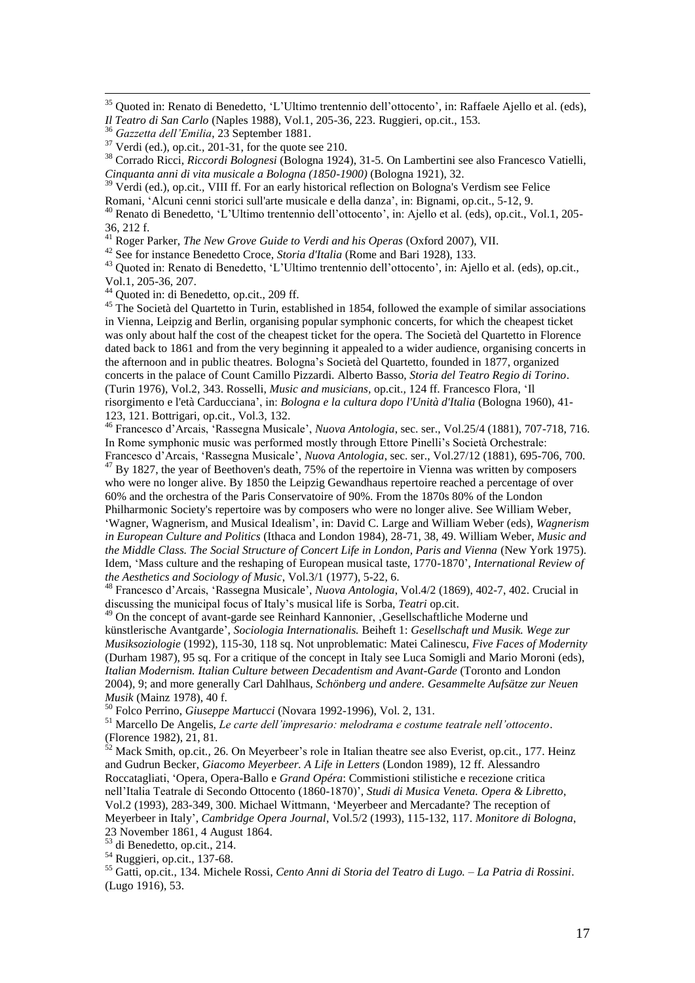<sup>35</sup> Quoted in: Renato di Benedetto, 'L'Ultimo trentennio dell'ottocento', in: Raffaele Ajello et al. (eds), *Il Teatro di San Carlo* (Naples 1988), Vol.1, 205-36, 223. Ruggieri, op.cit., 153.

<u>.</u>

<sup>38</sup> Corrado Ricci, *Riccordi Bolognesi* (Bologna 1924), 31-5. On Lambertini see also Francesco Vatielli, *Cinquanta anni di vita musicale a Bologna (1850-1900)* (Bologna 1921), 32.

<sup>39</sup> Verdi (ed.), op.cit., VIII ff. For an early historical reflection on Bologna's Verdism see Felice Romani, 'Alcuni cenni storici sull'arte musicale e della danza', in: Bignami, op.cit., 5-12, 9. <sup>40</sup> Renato di Benedetto, 'L'Ultimo trentennio dell'ottocento', in: Ajello et al. (eds), op.cit., Vol.1, 205- 36, 212 f.

<sup>41</sup> Roger Parker, *The New Grove Guide to Verdi and his Operas* (Oxford 2007), VII.

<sup>42</sup> See for instance Benedetto Croce, *Storia d'Italia* (Rome and Bari 1928), 133.

<sup>43</sup> Quoted in: Renato di Benedetto, 'L'Ultimo trentennio dell'ottocento', in: Ajello et al. (eds), op.cit., Vol.1, 205-36, 207.

 $^{44}$  Quoted in: di Benedetto, op.cit., 209 ff.

<sup>45</sup> The Società del Quartetto in Turin, established in 1854, followed the example of similar associations in Vienna, Leipzig and Berlin, organising popular symphonic concerts, for which the cheapest ticket was only about half the cost of the cheapest ticket for the opera. The Società del Quartetto in Florence dated back to 1861 and from the very beginning it appealed to a wider audience, organising concerts in the afternoon and in public theatres. Bologna's Società del Quartetto*,* founded in 1877, organized concerts in the palace of Count Camillo Pizzardi. Alberto Basso, *Storia del Teatro Regio di Torino*. (Turin 1976), Vol.2, 343. Rosselli, *Music and musicians,* op.cit.*,* 124 ff. Francesco Flora, 'Il risorgimento e l'età Carducciana', in: *Bologna e la cultura dopo l'Unità d'Italia* (Bologna 1960), 41- 123, 121. Bottrigari, op.cit.*,* Vol.3, 132.

<sup>46</sup> Francesco d'Arcais, 'Rassegna Musicale', *Nuova Antologia*, sec. ser., Vol.25/4 (1881), 707-718, 716. In Rome symphonic music was performed mostly through Ettore Pinelli's Società Orchestrale: Francesco d'Arcais, 'Rassegna Musicale', *Nuova Antologia*, sec. ser., Vol.27/12 (1881), 695-706, 700.

 $^{47}$  By 1827, the year of Beethoven's death, 75% of the repertoire in Vienna was written by composers who were no longer alive. By 1850 the Leipzig Gewandhaus repertoire reached a percentage of over 60% and the orchestra of the Paris Conservatoire of 90%. From the 1870s 80% of the London Philharmonic Society's repertoire was by composers who were no longer alive. See William Weber, 'Wagner, Wagnerism, and Musical Idealism', in: David C. Large and William Weber (eds), *Wagnerism in European Culture and Politics* (Ithaca and London 1984), 28-71, 38, 49. William Weber, *Music and the Middle Class. The Social Structure of Concert Life in London, Paris and Vienna* (New York 1975).

Idem, 'Mass culture and the reshaping of European musical taste, 1770-1870', *International Review of the Aesthetics and Sociology of Music*, Vol.3/1 (1977), 5-22, 6.

<sup>48</sup> Francesco d'Arcais, 'Rassegna Musicale', *Nuova Antologia*, Vol.4/2 (1869), 402-7, 402. Crucial in discussing the municipal focus of Italy's musical life is Sorba, *Teatri* op.cit.

<sup>49</sup> On the concept of avant-garde see Reinhard Kannonier, Gesellschaftliche Moderne und künstlerische Avantgarde', *Sociologia Internationalis.* Beiheft 1: *Gesellschaft und Musik. Wege zur Musiksoziologie* (1992), 115-30, 118 sq. Not unproblematic: Matei Calinescu, *Five Faces of Modernity* (Durham 1987), 95 sq. For a critique of the concept in Italy see Luca Somigli and Mario Moroni (eds), *Italian Modernism. Italian Culture between Decadentism and Avant-Garde* (Toronto and London 2004)*,* 9; and more generally Carl Dahlhaus, *Schönberg und andere. Gesammelte Aufsätze zur Neuen Musik* (Mainz 1978), 40 f.

<sup>50</sup> Folco Perrino, *Giuseppe Martucci* (Novara 1992-1996), Vol. 2, 131.

<sup>51</sup> Marcello De Angelis, *Le carte dell'impresario: melodrama e costume teatrale nell'ottocento*. (Florence 1982), 21, 81.

<sup>52</sup> Mack Smith, op.cit.*,* 26. On Meyerbeer's role in Italian theatre see also Everist, op.cit.*,* 177. Heinz and Gudrun Becker, *Giacomo Meyerbeer. A Life in Letters* (London 1989), 12 ff. Alessandro Roccatagliati, 'Opera, Opera-Ballo e *Grand Opéra*: Commistioni stilistiche e recezione critica nell'Italia Teatrale di Secondo Ottocento (1860-1870)', *Studi di Musica Veneta. Opera & Libretto*, Vol.2 (1993), 283-349, 300. Michael Wittmann, 'Meyerbeer and Mercadante? The reception of Meyerbeer in Italy', *Cambridge Opera Journal*, Vol.5/2 (1993), 115-132, 117. *Monitore di Bologna*, 23 November 1861, 4 August 1864.

<sup>53</sup> di Benedetto, op.cit., 214.

<sup>54</sup> Ruggieri, op.cit., 137-68.

<sup>55</sup> Gatti, op.cit., 134. Michele Rossi, *Cento Anni di Storia del Teatro di Lugo. – La Patria di Rossini*. (Lugo 1916), 53.

<sup>36</sup> *Gazzetta dell'Emilia*, 23 September 1881.

<sup>37</sup> Verdi (ed.), op.cit.*,* 201-31, for the quote see 210.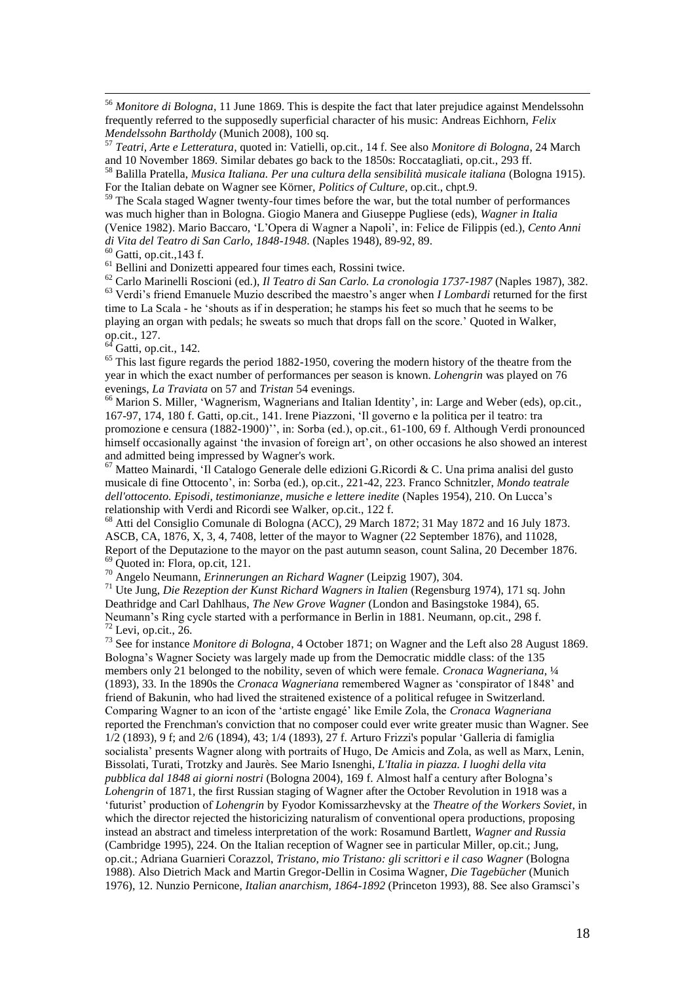<sup>56</sup> *Monitore di Bologna*, 11 June 1869. This is despite the fact that later prejudice against Mendelssohn frequently referred to the supposedly superficial character of his music: Andreas Eichhorn, *Felix Mendelssohn Bartholdy* (Munich 2008), 100 sq.

<sup>57</sup> *Teatri, Arte e Letteratura*, quoted in: Vatielli, op.cit.*,* 14 f. See also *Monitore di Bologna*, 24 March and 10 November 1869. Similar debates go back to the 1850s: Roccatagliati, op.cit., 293 ff.

<sup>58</sup> Balilla Pratella, *Musica Italiana. Per una cultura della sensibilità musicale italiana* (Bologna 1915). For the Italian debate on Wagner see Körner, *Politics of Culture*, op.cit., chpt.9.

<sup>59</sup> The Scala staged Wagner twenty-four times before the war, but the total number of performances was much higher than in Bologna. Giogio Manera and Giuseppe Pugliese (eds), *Wagner in Italia* (Venice 1982). Mario Baccaro, 'L'Opera di Wagner a Napoli', in: Felice de Filippis (ed.), *Cento Anni di Vita del Teatro di San Carlo, 1848-1948*. (Naples 1948), 89-92, 89.

 $60$  Gatti, op.cit., 143 f.

<u>.</u>

<sup>61</sup> Bellini and Donizetti appeared four times each, Rossini twice.

<sup>62</sup> Carlo Marinelli Roscioni (ed.), *Il Teatro di San Carlo. La cronologia 1737-1987* (Naples 1987), 382. <sup>63</sup> Verdi's friend Emanuele Muzio described the maestro's anger when *I Lombardi* returned for the first time to La Scala - he 'shouts as if in desperation; he stamps his feet so much that he seems to be playing an organ with pedals; he sweats so much that drops fall on the score.' Quoted in Walker, op.cit., 127.

 $<sup>64</sup>$  Gatti, op.cit., 142.</sup>

<sup>65</sup> This last figure regards the period 1882-1950, covering the modern history of the theatre from the year in which the exact number of performances per season is known. *Lohengrin* was played on 76 evenings, *La Traviata* on 57 and *Tristan* 54 evenings.

<sup>66</sup> Marion S. Miller, 'Wagnerism, Wagnerians and Italian Identity', in: Large and Weber (eds), op.cit.*,* 167-97, 174, 180 f. Gatti, op.cit., 141. Irene Piazzoni, 'Il governo e la politica per il teatro: tra promozione e censura (1882-1900)'', in: Sorba (ed.), op.cit., 61-100, 69 f. Although Verdi pronounced himself occasionally against 'the invasion of foreign art', on other occasions he also showed an interest and admitted being impressed by Wagner's work.

 $67$  Matteo Mainardi, 'Il Catalogo Generale delle edizioni G.Ricordi & C. Una prima analisi del gusto musicale di fine Ottocento', in: Sorba (ed.), op.cit.*,* 221-42, 223. Franco Schnitzler, *Mondo teatrale dell'ottocento. Episodi, testimonianze, musiche e lettere inedite* (Naples 1954), 210. On Lucca's relationship with Verdi and Ricordi see Walker, op.cit., 122 f.

<sup>68</sup> Atti del Consiglio Comunale di Bologna (ACC), 29 March 1872; 31 May 1872 and 16 July 1873. ASCB, CA, 1876, X, 3, 4, 7408, letter of the mayor to Wagner (22 September 1876), and 11028, Report of the Deputazione to the mayor on the past autumn season, count Salina, 20 December 1876. <sup>69</sup> Quoted in: Flora, op.cit, 121.

<sup>70</sup> Angelo Neumann, *Erinnerungen an Richard Wagner* (Leipzig 1907), 304.

<sup>71</sup> Ute Jung, *Die Rezeption der Kunst Richard Wagners in Italien* (Regensburg 1974), 171 sq. John Deathridge and Carl Dahlhaus, *The New Grove Wagner* (London and Basingstoke 1984), 65. Neumann's Ring cycle started with a performance in Berlin in 1881. Neumann, op.cit., 298 f.  $72$  Levi, op.cit., 26.

<sup>73</sup> See for instance *Monitore di Bologna*, 4 October 1871; on Wagner and the Left also 28 August 1869. Bologna's Wagner Society was largely made up from the Democratic middle class: of the 135 members only 21 belonged to the nobility, seven of which were female. *Cronaca Wagneriana*, <sup>1</sup>/4 (1893), 33. In the 1890s the *Cronaca Wagneriana* remembered Wagner as 'conspirator of 1848' and friend of Bakunin, who had lived the straitened existence of a political refugee in Switzerland. Comparing Wagner to an icon of the 'artiste engagé' like Emile Zola, the *Cronaca Wagneriana* reported the Frenchman's conviction that no composer could ever write greater music than Wagner. See 1/2 (1893), 9 f; and 2/6 (1894), 43; 1/4 (1893), 27 f. Arturo Frizzi's popular 'Galleria di famiglia socialista' presents Wagner along with portraits of Hugo, De Amicis and Zola, as well as Marx, Lenin, Bissolati, Turati, Trotzky and Jaurès. See Mario Isnenghi, *L'Italia in piazza. I luoghi della vita pubblica dal 1848 ai giorni nostri* (Bologna 2004), 169 f. Almost half a century after Bologna's *Lohengrin* of 1871, the first Russian staging of Wagner after the October Revolution in 1918 was a 'futurist' production of *Lohengrin* by Fyodor Komissarzhevsky at the *Theatre of the Workers Soviet*, in which the director rejected the historicizing naturalism of conventional opera productions, proposing instead an abstract and timeless interpretation of the work: Rosamund Bartlett, *Wagner and Russia* (Cambridge 1995), 224. On the Italian reception of Wagner see in particular Miller, op.cit.; Jung, op.cit.; Adriana Guarnieri Corazzol, *Tristano, mio Tristano: gli scrittori e il caso Wagner* (Bologna 1988). Also Dietrich Mack and Martin Gregor-Dellin in Cosima Wagner, *Die Tagebücher* (Munich 1976), 12. Nunzio Pernicone, *Italian anarchism, 1864-1892* (Princeton 1993), 88. See also Gramsci's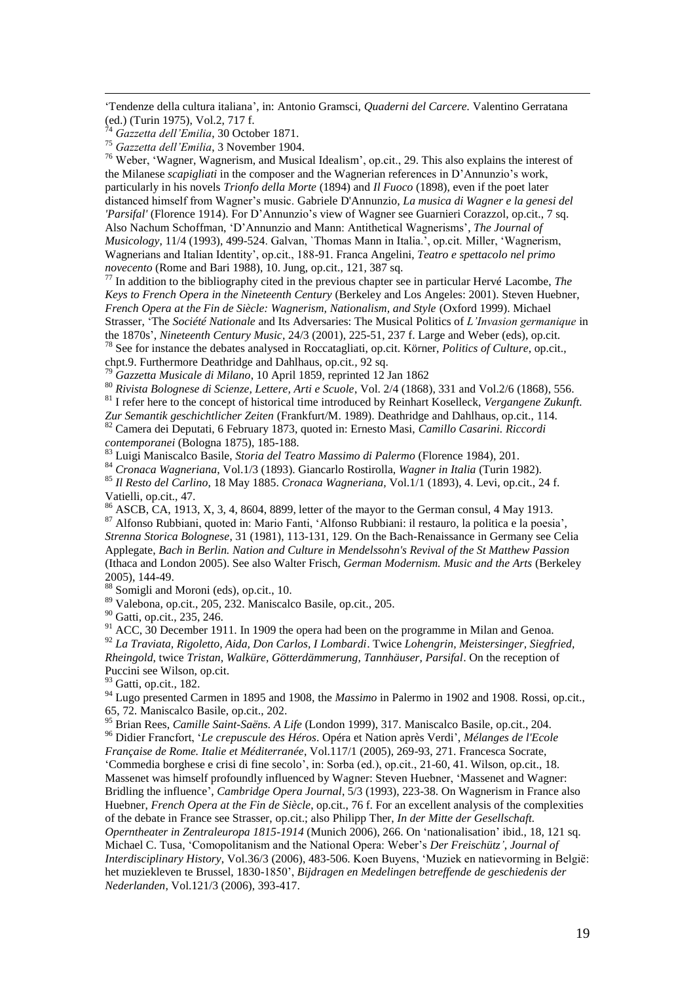'Tendenze della cultura italiana', in: Antonio Gramsci, *Quaderni del Carcere.* Valentino Gerratana (ed.) (Turin 1975), Vol.2, 717 f.

<sup>74</sup> *Gazzetta dell'Emilia*, 30 October 1871.

<u>.</u>

<sup>75</sup> *Gazzetta dell'Emilia*, 3 November 1904.

 $76$  Weber, 'Wagner, Wagnerism, and Musical Idealism', op.cit., 29. This also explains the interest of the Milanese *scapigliati* in the composer and the Wagnerian references in D'Annunzio's work, particularly in his novels *Trionfo della Morte* (1894) and *Il Fuoco* (1898), even if the poet later distanced himself from Wagner's music. Gabriele D'Annunzio, *La musica di Wagner e la genesi del 'Parsifal'* (Florence 1914). For D'Annunzio's view of Wagner see Guarnieri Corazzol, op.cit., 7 sq. Also Nachum Schoffman, 'D'Annunzio and Mann: Antithetical Wagnerisms', *The Journal of Musicology*, 11/4 (1993), 499-524. Galvan, `Thomas Mann in Italia.', op.cit. Miller, 'Wagnerism, Wagnerians and Italian Identity', op.cit., 188-91. Franca Angelini, *Teatro e spettacolo nel primo novecento* (Rome and Bari 1988), 10. Jung, op.cit., 121, 387 sq.

<sup>77</sup> In addition to the bibliography cited in the previous chapter see in particular Hervé Lacombe, *The Keys to French Opera in the Nineteenth Century* (Berkeley and Los Angeles: 2001). Steven Huebner, *French Opera at the Fin de Siècle: Wagnerism, Nationalism, and Style* (Oxford 1999). Michael Strasser, 'The *Société Nationale* and Its Adversaries: The Musical Politics of *L'Invasion germanique* in the 1870s', *Nineteenth Century Music*, 24/3 (2001), 225-51, 237 f. Large and Weber (eds), op.cit.

<sup>78</sup> See for instance the debates analysed in Roccatagliati, op.cit. Körner, *Politics of Culture*, op.cit., chpt.9. Furthermore Deathridge and Dahlhaus, op.cit.*,* 92 sq.

<sup>79</sup> *Gazzetta Musicale di Milano*, 10 April 1859, reprinted 12 Jan 1862

<sup>80</sup> *Rivista Bolognese di Scienze, Lettere, Arti e Scuole*, Vol. 2/4 (1868), 331 and Vol.2/6 (1868), 556. <sup>81</sup> I refer here to the concept of historical time introduced by Reinhart Koselleck, *Vergangene Zukunft.* 

*Zur Semantik geschichtlicher Zeiten* (Frankfurt/M. 1989). Deathridge and Dahlhaus, op.cit., 114.

<sup>82</sup> Camera dei Deputati, 6 February 1873, quoted in: Ernesto Masi, *Camillo Casarini. Riccordi contemporanei* (Bologna 1875), 185-188.

<sup>83</sup> Luigi Maniscalco Basile, *Storia del Teatro Massimo di Palermo* (Florence 1984), 201.

<sup>84</sup> *Cronaca Wagneriana*, Vol.1/3 (1893). Giancarlo Rostirolla, *Wagner in Italia* (Turin 1982).

<sup>85</sup> *Il Resto del Carlino*, 18 May 1885. *Cronaca Wagneriana,* Vol.1/1 (1893), 4. Levi, op.cit., 24 f. Vatielli, op.cit., 47.

 $86$  ASCB, CA, 1913, X, 3, 4, 8604, 8899, letter of the mayor to the German consul, 4 May 1913. <sup>87</sup> Alfonso Rubbiani, quoted in: Mario Fanti, 'Alfonso Rubbiani: il restauro, la politica e la poesia', *Strenna Storica Bolognese*, 31 (1981), 113-131, 129. On the Bach-Renaissance in Germany see Celia Applegate, *Bach in Berlin. Nation and Culture in Mendelssohn's Revival of the St Matthew Passion* (Ithaca and London 2005). See also Walter Frisch, *German Modernism. Music and the Arts* (Berkeley 2005), 144-49.

88 Somigli and Moroni (eds), op.cit., 10.

<sup>89</sup> Valebona, op.cit., 205, 232. Maniscalco Basile, op.cit., 205.

<sup>90</sup> Gatti, op.cit., 235, 246.

 $91$  ACC, 30 December 1911. In 1909 the opera had been on the programme in Milan and Genoa. <sup>92</sup> *La Traviata, Rigoletto, Aida, Don Carlos, I Lombardi*. Twice *Lohengrin, Meistersinger, Siegfried, Rheingold*, twice *Tristan, Walküre, Götterdämmerung, Tannhäuser, Parsifal*. On the reception of Puccini see Wilson, op.cit.

<sup>93</sup> Gatti, op.cit., 182.

<sup>94</sup> Lugo presented Carmen in 1895 and 1908, the *Massimo* in Palermo in 1902 and 1908. Rossi, op.cit., 65, 72. Maniscalco Basile, op.cit., 202.

<sup>95</sup> Brian Rees, *Camille Saint-Saëns. A Life* (London 1999), 317. Maniscalco Basile, op.cit., 204. <sup>96</sup> Didier Francfort, '*Le crepuscule des Héros*. Opéra et Nation après Verdi', *Mélanges de l'Ecole* 

*Française de Rome. Italie et Méditerranée*, Vol.117/1 (2005), 269-93, 271. Francesca Socrate, 'Commedia borghese e crisi di fine secolo', in: Sorba (ed.), op.cit., 21-60, 41. Wilson, op.cit., 18. Massenet was himself profoundly influenced by Wagner: Steven Huebner, 'Massenet and Wagner: Bridling the influence', *Cambridge Opera Journal*, 5/3 (1993), 223-38. On Wagnerism in France also Huebner, *French Opera at the Fin de Siècle*, op.cit., 76 f. For an excellent analysis of the complexities of the debate in France see Strasser, op.cit.; also Philipp Ther, *In der Mitte der Gesellschaft. Operntheater in Zentraleuropa 1815-1914* (Munich 2006), 266. On 'nationalisation' ibid., 18, 121 sq. Michael C. Tusa, 'Comopolitanism and the National Opera: Weber's *Der Freischütz'*, *Journal of Interdisciplinary History*, Vol.36/3 (2006), 483-506. Koen Buyens, 'Muziek en natievorming in België: het muziekleven te Brussel, 1830-1850', *Bijdragen en Medelingen betreffende de geschiedenis der Nederlanden*, Vol.121/3 (2006), 393-417.